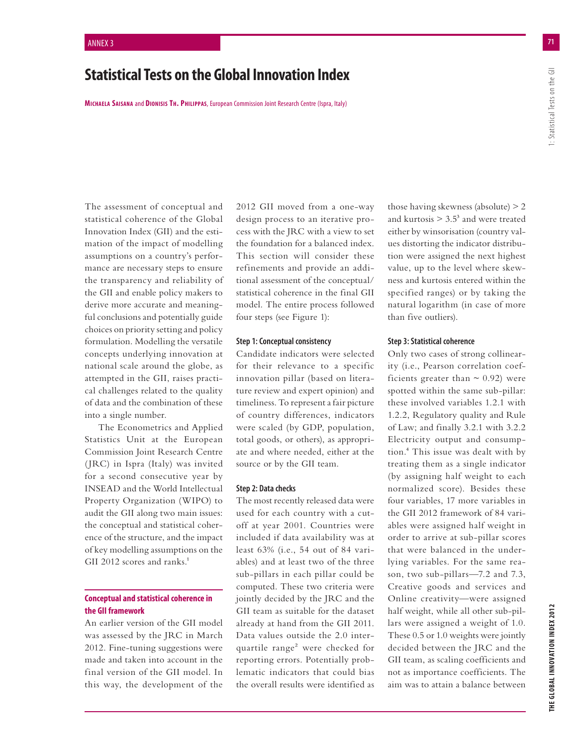# **Statistical Tests on the Global Innovation Index**

**MICHAELA SAISANA** and **DIONISIS TH. PHILIPPAS**, European Commission Joint Research Centre (Ispra, Italy)

The assessment of conceptual and statistical coherence of the Global Innovation Index (GII) and the estimation of the impact of modelling assumptions on a country's performance are necessary steps to ensure the transparency and reliability of the GII and enable policy makers to derive more accurate and meaningful conclusions and potentially guide choices on priority setting and policy formulation. Modelling the versatile concepts underlying innovation at national scale around the globe, as attempted in the GII, raises practical challenges related to the quality of data and the combination of these into a single number.

The Econometrics and Applied Statistics Unit at the European Commission Joint Research Centre (JRC) in Ispra (Italy) was invited for a second consecutive year by INSEAD and the World Intellectual Property Organization (WIPO) to audit the GII along two main issues: the conceptual and statistical coherence of the structure, and the impact of key modelling assumptions on the GII 2012 scores and ranks.<sup>1</sup>

#### **Conceptual and statistical coherence in the GII framework**

An earlier version of the GII model was assessed by the JRC in March 2012. Fine-tuning suggestions were made and taken into account in the final version of the GII model. In this way, the development of the 2012 GII moved from a one-way design process to an iterative process with the JRC with a view to set the foundation for a balanced index. This section will consider these refinements and provide an additional assessment of the conceptual/ statistical coherence in the final GII model. The entire process followed four steps (see Figure 1):

#### **Step 1: Conceptual consistency**

Candidate indicators were selected for their relevance to a specific innovation pillar (based on literature review and expert opinion) and timeliness. To represent a fair picture of country differences, indicators were scaled (by GDP, population, total goods, or others), as appropriate and where needed, either at the source or by the GII team.

#### **Step 2: Data checks**

The most recently released data were used for each country with a cutoff at year 2001. Countries were included if data availability was at least 63% (i.e., 54 out of 84 variables) and at least two of the three sub-pillars in each pillar could be computed. These two criteria were jointly decided by the JRC and the GII team as suitable for the dataset already at hand from the GII 2011. Data values outside the 2.0 interquartile range<sup>2</sup> were checked for reporting errors. Potentially problematic indicators that could bias the overall results were identified as those having skewness (absolute) > 2 and kurtosis  $> 3.5^3$  and were treated either by winsorisation (country values distorting the indicator distribution were assigned the next highest value, up to the level where skewness and kurtosis entered within the specified ranges) or by taking the natural logarithm (in case of more than five outliers).

#### **Step 3: Statistical coherence**

Only two cases of strong collinearity (i.e., Pearson correlation coefficients greater than  $\sim$  0.92) were spotted within the same sub-pillar: these involved variables 1.2.1 with 1.2.2, Regulatory quality and Rule of Law; and finally 3.2.1 with 3.2.2 Electricity output and consumption.4 This issue was dealt with by treating them as a single indicator (by assigning half weight to each normalized score). Besides these four variables, 17 more variables in the GII 2012 framework of 84 variables were assigned half weight in order to arrive at sub-pillar scores that were balanced in the underlying variables. For the same reason, two sub-pillars—7.2 and 7.3, Creative goods and services and Online creativity—were assigned half weight, while all other sub-pillars were assigned a weight of 1.0. These 0.5 or 1.0 weights were jointly decided between the JRC and the GII team, as scaling coefficients and not as importance coefficients. The aim was to attain a balance between

I: Statistical Tests on the GII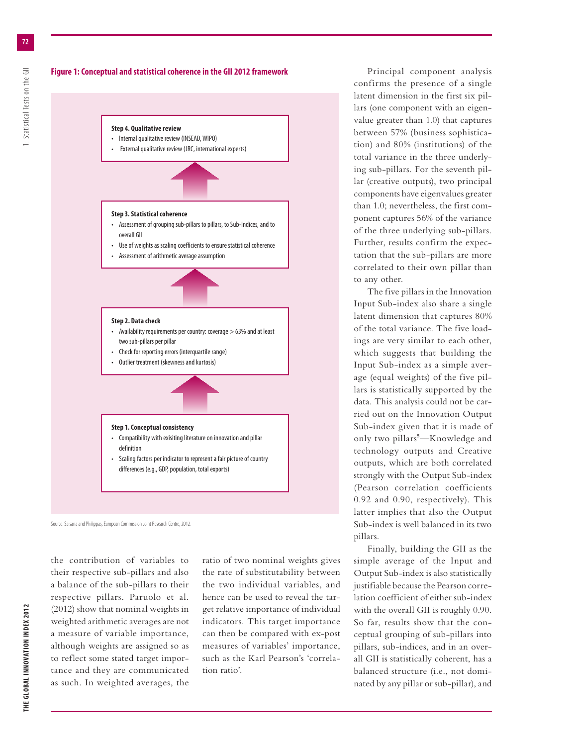



- Check for reporting errors (interquartile range)
- Outlier treatment (skewness and kurtosis)

#### **Step 1. Conceptual consistency**

- Compatibility with exisiting literature on innovation and pillar definition
- Scaling factors per indicator to represent a fair picture of country differences (e.g., GDP, population, total exports)

Source: Saisana and Philippas, European Commission Joint Research Centre, 2012.

the contribution of variables to their respective sub-pillars and also a balance of the sub-pillars to their respective pillars. Paruolo et al. (2012) show that nominal weights in weighted arithmetic averages are not a measure of variable importance, although weights are assigned so as to reflect some stated target importance and they are communicated as such. In weighted averages, the

ratio of two nominal weights gives the rate of substitutability between the two individual variables, and hence can be used to reveal the target relative importance of individual indicators. This target importance can then be compared with ex-post measures of variables' importance, such as the Karl Pearson's 'correlation ratio'.

Principal component analysis confirms the presence of a single latent dimension in the first six pillars (one component with an eigenvalue greater than 1.0) that captures between 57% (business sophistication) and 80% (institutions) of the total variance in the three underlying sub-pillars. For the seventh pillar (creative outputs), two principal components have eigenvalues greater than 1.0; nevertheless, the first component captures 56% of the variance of the three underlying sub-pillars. Further, results confirm the expectation that the sub-pillars are more correlated to their own pillar than to any other.

The five pillars in the Innovation Input Sub-index also share a single latent dimension that captures 80% of the total variance. The five loadings are very similar to each other, which suggests that building the Input Sub-index as a simple average (equal weights) of the five pillars is statistically supported by the data. This analysis could not be carried out on the Innovation Output Sub-index given that it is made of only two pillars<sup>5</sup>—Knowledge and technology outputs and Creative outputs, which are both correlated strongly with the Output Sub-index (Pearson correlation coefficients 0.92 and 0.90, respectively). This latter implies that also the Output Sub-index is well balanced in its two pillars.

Finally, building the GII as the simple average of the Input and Output Sub-index is also statistically justifiable because the Pearson correlation coefficient of either sub-index with the overall GII is roughly 0.90. So far, results show that the conceptual grouping of sub-pillars into pillars, sub-indices, and in an overall GII is statistically coherent, has a balanced structure (i.e., not dominated by any pillar or sub-pillar), and

**72**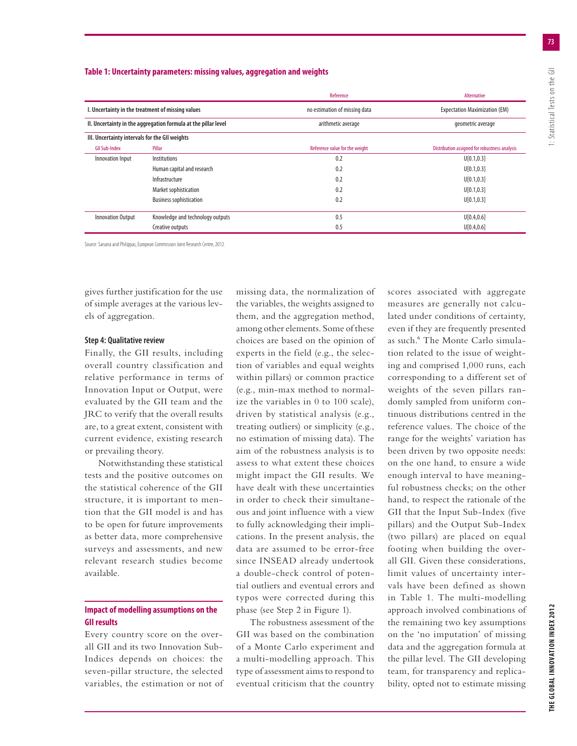#### **Table 1: Uncertainty parameters: missing values, aggregation and weights**

|                                                |                                                                | Reference                      | Alternative                                   |
|------------------------------------------------|----------------------------------------------------------------|--------------------------------|-----------------------------------------------|
|                                                | I. Uncertainty in the treatment of missing values              | no estimation of missing data  | <b>Expectation Maximization (EM)</b>          |
|                                                | II. Uncertainty in the aggregation formula at the pillar level | arithmetic average             | geometric average                             |
| III. Uncertainty intervals for the GII weights |                                                                |                                |                                               |
| <b>GII Sub-Index</b>                           | Pillar                                                         | Reference value for the weight | Distribution assigned for robustness analysis |
| Innovation Input                               | Institutions                                                   | 0.2                            | U[0.1, 0.3]                                   |
|                                                | Human capital and research                                     | 0.2                            | U[0.1, 0.3]                                   |
|                                                | Infrastructure                                                 | 0.2                            | U[0.1, 0.3]                                   |
|                                                | Market sophistication                                          | 0.2                            | U[0.1, 0.3]                                   |
|                                                | <b>Business sophistication</b>                                 | 0.2                            | U[0.1, 0.3]                                   |
| <b>Innovation Output</b>                       | Knowledge and technology outputs                               | 0.5                            | U[0.4, 0.6]                                   |
|                                                | Creative outputs                                               | 0.5                            | U[0.4, 0.6]                                   |

Source: Saisana and Philippas, European Commission Joint Research Centre, 2012.

gives further justification for the use of simple averages at the various levels of aggregation.

#### **Step 4: Qualitative review**

Finally, the GII results, including overall country classification and relative performance in terms of Innovation Input or Output, were evaluated by the GII team and the JRC to verify that the overall results are, to a great extent, consistent with current evidence, existing research or prevailing theory.

Notwithstanding these statistical tests and the positive outcomes on the statistical coherence of the GII structure, it is important to mention that the GII model is and has to be open for future improvements as better data, more comprehensive surveys and assessments, and new relevant research studies become available.

### **Impact of modelling assumptions on the GII results**

Every country score on the overall GII and its two Innovation Sub-Indices depends on choices: the seven-pillar structure, the selected variables, the estimation or not of missing data, the normalization of the variables, the weights assigned to them, and the aggregation method, among other elements. Some of these choices are based on the opinion of experts in the field (e.g., the selection of variables and equal weights within pillars) or common practice (e.g., min-max method to normalize the variables in 0 to 100 scale), driven by statistical analysis (e.g., treating outliers) or simplicity (e.g., no estimation of missing data). The aim of the robustness analysis is to assess to what extent these choices might impact the GII results. We have dealt with these uncertainties in order to check their simultaneous and joint influence with a view to fully acknowledging their implications. In the present analysis, the data are assumed to be error-free since INSEAD already undertook a double-check control of potential outliers and eventual errors and typos were corrected during this phase (see Step 2 in Figure 1).

The robustness assessment of the GII was based on the combination of a Monte Carlo experiment and a multi-modelling approach. This type of assessment aims to respond to eventual criticism that the country

scores associated with aggregate measures are generally not calculated under conditions of certainty, even if they are frequently presented as such.6 The Monte Carlo simulation related to the issue of weighting and comprised 1,000 runs, each corresponding to a different set of weights of the seven pillars randomly sampled from uniform continuous distributions centred in the reference values. The choice of the range for the weights' variation has been driven by two opposite needs: on the one hand, to ensure a wide enough interval to have meaningful robustness checks; on the other hand, to respect the rationale of the GII that the Input Sub-Index (five pillars) and the Output Sub-Index (two pillars) are placed on equal footing when building the overall GII. Given these considerations, limit values of uncertainty intervals have been defined as shown in Table 1. The multi-modelling approach involved combinations of the remaining two key assumptions on the 'no imputation' of missing data and the aggregation formula at the pillar level. The GII developing team, for transparency and replicability, opted not to estimate missing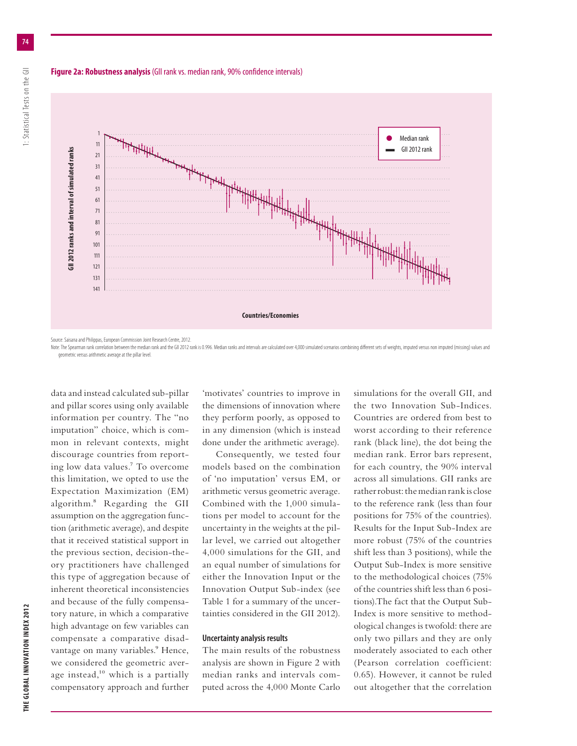#### **Figure 2a: Robustness analysis** (GII rank vs. median rank, 90% confidence intervals)





Source: Saisana and Philippas, European Commission Joint Research Centre, 2012.

Note: The Spearman rank correlation between the median rank and the GII 2012 rank is 0.996. Median ranks and intervals are calculated over 4,000 simulated scenarios combining different sets of weights, imputed versus non i geometric versus arithmetic average at the pillar level.

data and instead calculated sub-pillar and pillar scores using only available information per country. The "no imputation" choice, which is common in relevant contexts, might discourage countries from reporting low data values.7 To overcome this limitation, we opted to use the Expectation Maximization (EM) algorithm.8 Regarding the GII assumption on the aggregation function (arithmetic average), and despite that it received statistical support in the previous section, decision-theory practitioners have challenged this type of aggregation because of inherent theoretical inconsistencies and because of the fully compensatory nature, in which a comparative high advantage on few variables can compensate a comparative disadvantage on many variables.<sup>9</sup> Hence, we considered the geometric average instead, $10$  which is a partially compensatory approach and further

'motivates' countries to improve in the dimensions of innovation where they perform poorly, as opposed to in any dimension (which is instead done under the arithmetic average).

Consequently, we tested four models based on the combination of 'no imputation' versus EM, or arithmetic versus geometric average. Combined with the 1,000 simulations per model to account for the uncertainty in the weights at the pillar level, we carried out altogether 4,000 simulations for the GII, and an equal number of simulations for either the Innovation Input or the Innovation Output Sub-index (see Table 1 for a summary of the uncertainties considered in the GII 2012).

#### **Uncertainty analysis results**

The main results of the robustness analysis are shown in Figure 2 with median ranks and intervals computed across the 4,000 Monte Carlo simulations for the overall GII, and the two Innovation Sub-Indices. Countries are ordered from best to worst according to their reference rank (black line), the dot being the median rank. Error bars represent, for each country, the 90% interval across all simulations. GII ranks are rather robust: the median rank is close to the reference rank (less than four positions for 75% of the countries). Results for the Input Sub-Index are more robust (75% of the countries shift less than 3 positions), while the Output Sub-Index is more sensitive to the methodological choices (75% of the countries shift less than 6 positions).The fact that the Output Sub-Index is more sensitive to methodological changes is twofold: there are only two pillars and they are only moderately associated to each other (Pearson correlation coefficient: 0.65). However, it cannot be ruled out altogether that the correlation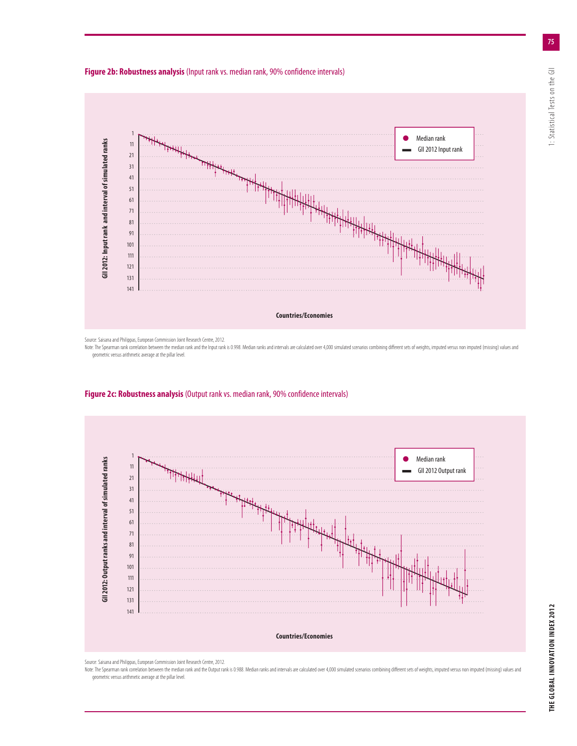



Source: Saisana and Philippas, European Commission Joint Research Centre, 2012.

Note: The Spearman rank correlation between the median rank and the Input rank is 0.998. Median ranks and intervals are calculated over 4,000 simulated scenarios combining different sets of weights, imputed versus non impu geometric versus arithmetic average at the pillar level.



#### **Figure 2c: Robustness analysis** (Output rank vs. median rank, 90% confidence intervals)

Source: Saisana and Philippas, European Commission Joint Research Centre, 2012.

Note: The Spearman rank correlation between the median rank and the Output rank is 0.988. Median ranks and intervals are calculated over 4,000 simulated scenarios combining different sets of weights, imputed versus non imp geometric versus arithmetic average at the pillar level.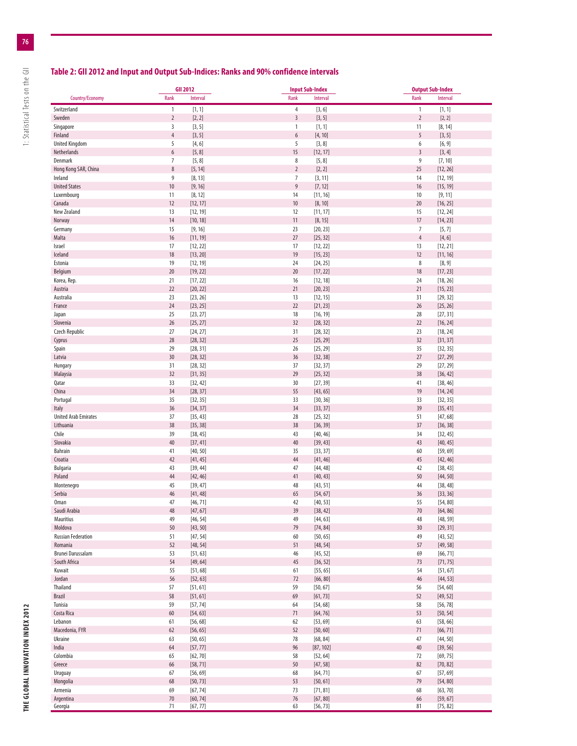## **Table 2: GII 2012 and Input and Output Sub-Indices: Ranks and 90% confidence intervals**

|                                      |                                    | <b>GII 2012</b>      |                   | <b>Input Sub-Index</b> |                         | <b>Output Sub-Index</b> |  |
|--------------------------------------|------------------------------------|----------------------|-------------------|------------------------|-------------------------|-------------------------|--|
| Country/Economy                      | Rank                               | Interval             | Rank              | Interval               | Rank                    | Interval                |  |
| Switzerland                          | $\mathbf{1}$                       | [1, 1]               | $\overline{4}$    | [3, 6]                 | $\mathbf{1}$            | [1, 1]                  |  |
| Sweden                               | $\overline{2}$                     | [2, 2]               | $\overline{3}$    | [3, 5]                 | $\overline{2}$          | [2, 2]                  |  |
| Singapore                            | 3                                  | [3, 5]               | 1                 | [1, 1]                 | 11                      | [8, 14]                 |  |
| Finland                              | $\overline{4}$                     | [3, 5]               | 6                 | [4, 10]                | $\sqrt{5}$              | [3, 5]                  |  |
| <b>United Kingdom</b>                | 5                                  | [4, 6]               | 5                 | [3, 8]                 | 6                       | [6, 9]                  |  |
| Netherlands                          | $\boldsymbol{6}$<br>$\overline{7}$ | [5, 8]<br>[5, 8]     | 15<br>$\,$ 8 $\,$ | [12, 17]               | $\overline{3}$<br>$9\,$ | [3, 4]                  |  |
| Denmark<br>Hong Kong SAR, China      | $\,$ 8 $\,$                        | [5, 14]              | $\sqrt{2}$        | [5, 8]<br>[2, 2]       | 25                      | [7, 10]<br>[12, 26]     |  |
| Ireland                              | 9                                  | [8, 13]              | $\overline{7}$    | [3, 11]                | 14                      | [12, 19]                |  |
| <b>United States</b>                 | $10$                               | [9, 16]              | 9                 | [7, 12]                | 16                      | [15, 19]                |  |
| Luxembourg                           | 11                                 | [8, 12]              | 14                | [11, 16]               | $10$                    | [9, 11]                 |  |
| Canada                               | 12                                 | [12, 17]             | 10                | [8, 10]                | 20                      | [16, 25]                |  |
| New Zealand                          | 13                                 | [12, 19]             | 12                | [11, 17]               | 15                      | [12, 24]                |  |
| Norway                               | 14                                 | [10, 18]             | 11                | [8, 15]                | 17                      | [14, 23]                |  |
| Germany                              | 15                                 | [9, 16]              | 23                | [20, 23]               | $\overline{7}$          | [5, 7]                  |  |
| Malta                                | 16                                 | [11, 19]             | 27                | [25, 32]               | $\sqrt{4}$              | [4, 6]                  |  |
| Israel                               | 17                                 | [12, 22]             | 17                | [12, 22]               | 13                      | [12, 21]                |  |
| Iceland<br>Estonia                   | 18<br>19                           | [13, 20]<br>[12, 19] | 19<br>24          | [15, 23]<br>[24, 25]   | 12<br>8                 | [11, 16]<br>[8, 9]      |  |
| Belgium                              | 20                                 | [19, 22]             | 20                | [17, 22]               | 18                      | [17, 23]                |  |
| Korea, Rep.                          | 21                                 | [17, 22]             | 16                | [12, 18]               | 24                      | [18, 26]                |  |
| Austria                              | 22                                 | [20, 22]             | 21                | [20, 23]               | 21                      | [15, 23]                |  |
| Australia                            | 23                                 | [23, 26]             | 13                | [12, 15]               | 31                      | [29, 32]                |  |
| France                               | 24                                 | [23, 25]             | 22                | [21, 23]               | 26                      | [25, 26]                |  |
| Japan                                | 25                                 | [23, 27]             | 18                | [16, 19]               | 28                      | [27, 31]                |  |
| Slovenia                             | 26                                 | [25, 27]             | 32                | [28, 32]               | 22                      | [16, 24]                |  |
| Czech Republic                       | 27                                 | [24, 27]             | 31                | [28, 32]               | 23                      | [18, 24]                |  |
| Cyprus                               | 28                                 | [28, 32]             | 25                | [25, 29]               | 32                      | [31, 37]                |  |
| Spain                                | 29<br>30                           | [28, 31]             | 26<br>36          | [25, 29]               | 35<br>27                | [32, 35]                |  |
| Latvia<br>Hungary                    | 31                                 | [28, 32]<br>[28, 32] | 37                | [32, 38]<br>[32, 37]   | 29                      | [27, 29]<br>[27, 29]    |  |
| Malaysia                             | 32                                 | [31, 35]             | 29                | [25, 32]               | 38                      | [36, 42]                |  |
| Qatar                                | 33                                 | [32, 42]             | 30                | [27, 39]               | 41                      | [38, 46]                |  |
| China                                | 34                                 | [28, 37]             | 55                | [43, 65]               | 19                      | [14, 24]                |  |
| Portugal                             | 35                                 | [32, 35]             | 33                | [30, 36]               | 33                      | [32, 35]                |  |
| Italy                                | 36                                 | [34, 37]             | 34                | [33, 37]               | 39                      | [35, 41]                |  |
| <b>United Arab Emirates</b>          | 37                                 | [35, 43]             | 28                | [25, 32]               | 51                      | [47, 68]                |  |
| Lithuania                            | 38                                 | [35, 38]             | 38                | [36, 39]               | 37                      | [36, 38]                |  |
| Chile                                | 39                                 | [38, 45]             | 43                | [40, 46]               | 34                      | [32, 45]                |  |
| Slovakia<br><b>Bahrain</b>           | 40<br>41                           | [37, 41]<br>[40, 50] | $40\,$<br>35      | [39, 43]<br>[33, 37]   | 43<br>60                | [40, 45]<br>[59, 69]    |  |
| Croatia                              | 42                                 | [41, 45]             | 44                | [41, 46]               | 45                      | [42, 46]                |  |
| <b>Bulgaria</b>                      | 43                                 | [39, 44]             | 47                | [44, 48]               | 42                      | [38, 43]                |  |
| Poland                               | 44                                 | [42, 46]             | 41                | [40, 43]               | 50                      | [44, 50]                |  |
| Montenegro                           | 45                                 | [39, 47]             | 48                | [43, 51]               | 44                      | [38, 48]                |  |
| Serbia                               | 46                                 | [41, 48]             | 65                | [54, 67]               | 36                      | [33, 36]                |  |
| <b>Oman</b>                          | 47                                 | [46, 71]             | 42                | [40, 53]               | 55                      | [54, 80]                |  |
| Saudi Arabia                         | 48                                 | [47, 67]             | 39                | [38, 42]               | $70\,$                  | [64, 86]                |  |
| Mauritius                            | 49                                 | [46, 54]             | 49                | [44, 63]               | 48                      | [48, 59]                |  |
| Moldova<br><b>Russian Federation</b> | 50<br>51                           | [43, 50]<br>[47, 54] | 79<br>60          | [74, 84]<br>[50, 65]   | 30<br>49                | [29, 31]<br>[43, 52]    |  |
| Romania                              | 52                                 | [48, 54]             | 51                | [48, 54]               | 57                      | [49, 58]                |  |
| Brunei Darussalam                    | 53                                 | [51, 63]             | 46                | [45, 52]               | 69                      | [66, 71]                |  |
| South Africa                         | 54                                 | [49, 64]             | 45                | [36, 52]               | 73                      | [71, 75]                |  |
| Kuwait                               | 55                                 | [51, 68]             | 61                | [55, 65]               | 54                      | [51, 67]                |  |
| Jordan                               | 56                                 | [52, 63]             | 72                | [66, 80]               | 46                      | [44, 53]                |  |
| Thailand                             | 57                                 | [51, 61]             | 59                | [50, 67]               | 56                      | [54, 60]                |  |
| <b>Brazil</b>                        | 58                                 | [51, 61]             | 69                | [61, 73]               | 52                      | [49, 52]                |  |
| Tunisia                              | 59                                 | [57, 74]             | 64                | [54, 68]               | 58                      | [56, 78]                |  |
| Costa Rica                           | 60                                 | [54, 63]             | 71                | [64, 76]               | 53                      | [50, 54]                |  |
| Lebanon<br>Macedonia, FYR            | 61<br>62                           | [56, 68]<br>[56, 65] | 62<br>52          | [53, 69]<br>[50, 60]   | 63<br>71                | [58, 66]<br>[66, 71]    |  |
| Ukraine                              | 63                                 | [50, 65]             | 78                | [68, 84]               | 47                      | [44, 50]                |  |
| India                                | 64                                 | [57, 77]             | 96                | [87, 102]              | $40\,$                  | [39, 56]                |  |
| Colombia                             | 65                                 | [62, 70]             | 58                | [52, 64]               | 72                      | [69, 75]                |  |
| Greece                               | 66                                 | [58, 71]             | 50                | [47, 58]               | 82                      | [70, 82]                |  |
| Uruguay                              | 67                                 | [56, 69]             | 68                | [64, 71]               | 67                      | [57, 69]                |  |
| Mongolia                             | 68                                 | [50, 73]             | 53                | [50, 61]               | 79                      | [54, 80]                |  |
| Armenia                              | 69                                 | [67, 74]             | 73                | [71, 81]               | 68                      | [63, 70]                |  |
| Argentina                            | $70\,$                             | [60, 74]             | 76                | [67, 80]               | 66                      | [59, 67]                |  |
| Georgia                              | 71                                 | [67, 77]             | 63                | [56, 73]               | 81                      | [75, 82]                |  |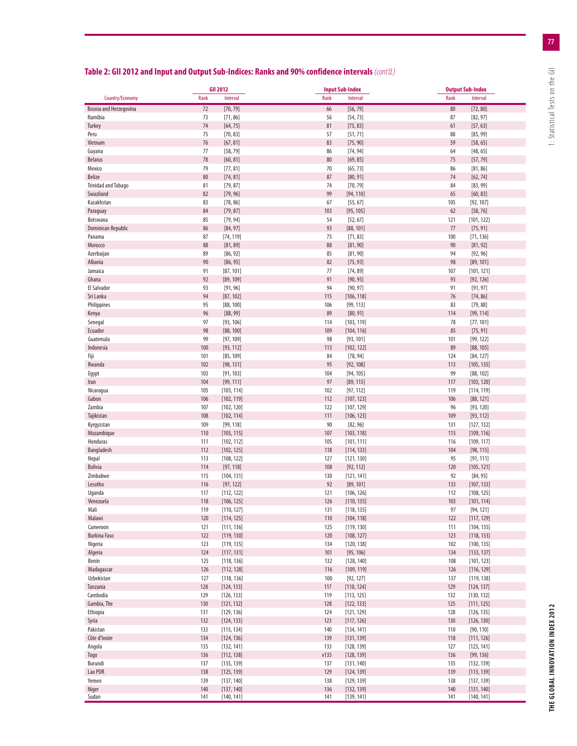| Country/Economy<br>Rank<br>Interval<br>Rank<br>Interval<br>Rank<br>Interval<br>Bosnia and Herzegovina<br>72<br>[70, 79]<br>66<br>[56, 79]<br>80<br>[72, 80]<br>73<br>[71, 86]<br>56<br>[54, 73]<br>87<br>[82, 97]<br>Namibia<br>74<br>[64, 75]<br>81<br>[75, 83]<br>61<br>[57, 63]<br>Turkey<br>Peru<br>75<br>[70, 83]<br>57<br>[85, 99]<br>[51, 71]<br>88<br>76<br>[67, 81]<br>83<br>[75, 90]<br>59<br>[58, 65]<br>Vietnam<br>77<br>[58, 79]<br>[74, 94]<br>Guyana<br>86<br>64<br>[48, 65]<br>78<br>[60, 81]<br>80<br>[69, 85]<br>75<br>[57, 79]<br><b>Belarus</b><br>79<br>70<br>[65, 73]<br>Mexico<br>[77, 81]<br>86<br>[81, 86]<br>80<br>[74, 81]<br>87<br>[80, 91]<br>74<br>Belize<br>[62, 74]<br><b>Trinidad and Tobago</b><br>[79, 87]<br>74<br>[70, 79]<br>[83, 99]<br>81<br>84<br>82<br>[79, 96]<br>99<br>65<br>[60, 83]<br>Swaziland<br>[94, 110]<br>Kazakhstan<br>83<br>[78, 86]<br>67<br>[55, 67]<br>105<br>[92, 107]<br>84<br>[79, 87]<br>103<br>[95, 105]<br>62<br>[58, 76]<br>Paraguay<br>85<br>[79, 94]<br>54<br>[52, 67]<br>Botswana<br>121<br>[101, 122]<br><b>Dominican Republic</b><br>86<br>[84, 97]<br>93<br>[88, 101]<br>77<br>[75, 91]<br>87<br>75<br>Panama<br>[74, 119]<br>[71, 83]<br>100<br>[71, 136]<br>88<br>[81, 89]<br>88<br>[81, 90]<br>90<br>[81, 92]<br>Morocco<br>89<br>[86, 92]<br>85<br>[81, 90]<br>94<br>[92, 96]<br>Azerbaijan<br>90<br>[86, 95]<br>82<br>[75, 93]<br>98<br>[89, 101]<br>Albania<br>91<br>77<br>[74, 89]<br>107<br>Jamaica<br>[87, 101]<br>[101, 121]<br>92<br>[89, 109]<br>91<br>[90, 95]<br>93<br>Ghana<br>[92, 126]<br>El Salvador<br>93<br>[91, 96]<br>94<br>[90, 97]<br>91<br>[91, 97]<br>94<br>Sri Lanka<br>[87, 102]<br>115<br>[106, 118]<br>76<br>[74, 86]<br>95<br>[88, 100]<br>[99, 113]<br>[79, 88]<br>Philippines<br>106<br>83<br>96<br>[88, 99]<br>89<br>[80, 91]<br>114<br>[99, 114]<br>Kenya<br>97<br>[93, 106]<br>[103, 119]<br>78<br>[77, 101]<br>Senegal<br>114<br>98<br>[88, 100]<br>109<br>85<br>[75, 91]<br>Ecuador<br>[104, 116]<br>99<br>[97, 109]<br>98<br>[93, 101]<br>101<br>[99, 122]<br>Guatemala<br>100<br>[93, 112]<br>113<br>[102, 122]<br>89<br>[88, 105]<br>Indonesia<br>101<br>[85, 109]<br>84<br>[78, 94]<br>124<br>[84, 127]<br>102<br>[98, 131]<br>95<br>[92, 108]<br>113<br>[105, 135]<br>Rwanda<br>99<br>Egypt<br>103<br>[91, 103]<br>104<br>[94, 105]<br>[88, 102]<br>97<br>104<br>[99, 111]<br>[89, 115]<br>117<br>[103, 120]<br>Iran<br>105<br>[103, 114]<br>102<br>[97, 112]<br>119<br>[114, 119]<br>Nicaragua<br>[102, 119]<br>112<br>[107, 123]<br>106<br>Gabon<br>106<br>[88, 121]<br>Zambia<br>107<br>[102, 120]<br>122<br>[107, 129]<br>96<br>[93, 120]<br>[102, 114]<br>111<br>[106, 123]<br>109<br>[93, 112]<br>Tajikistan<br>108<br>Kyrgyzstan<br>109<br>[99, 118]<br>90<br>[82, 96]<br>131<br>[127, 132]<br>[105, 115]<br>107<br>115<br>[109, 116]<br>Mozambique<br>110<br>[103, 118]<br>Honduras<br>[102, 112]<br>105<br>116<br>[109, 117]<br>111<br>[101, 111]<br>Bangladesh<br>112<br>[102, 125]<br>[114, 133]<br>104<br>118<br>[98, 115]<br>113<br>[108, 122]<br>[91, 111]<br>Nepal<br>127<br>[121, 130]<br>95<br><b>Bolivia</b><br>114<br>108<br>120<br>[105, 121]<br>[97, 118]<br>[92, 112]<br>Zimbabwe<br>115<br>92<br>[84, 95]<br>[104, 131]<br>130<br>[121, 141]<br>116<br>[97, 122]<br>92<br>[89, 101]<br>133<br>Lesotho<br>[107, 133]<br>121<br>Uganda<br>117<br>[112, 122]<br>[106, 126]<br>112<br>[108, 125]<br>118<br>126<br>103<br>Venezuela<br>[106, 125]<br>[110, 135]<br>[101, 114]<br>Mali<br>119<br>[110, 127]<br>131<br>[118, 135]<br>97<br>[94, 121]<br>120<br>[114, 125]<br>110<br>122<br>[117, 129]<br>Malawi<br>[104, 118]<br>Cameroon<br>121<br>[111, 136]<br>125<br>[119, 130]<br>111<br>[104, 135]<br><b>Burkina Faso</b><br>122<br>[119, 130]<br>120<br>[108, 127]<br>123<br>[118, 133]<br>Nigeria<br>123<br>102<br>[119, 135]<br>134<br>[120, 138]<br>[100, 135]<br>Algeria<br>124<br>[117, 131]<br>101<br>134<br>[95, 106]<br>[133, 137]<br>Benin<br>125<br>108<br>[118, 136]<br>132<br>[128, 140]<br>[101, 123]<br>Madagascar<br>126<br>116<br>[109, 119]<br>126<br>[112, 128]<br>[116, 129]<br>Uzbekistan<br>127<br>[118, 136]<br>100<br>[92, 127]<br>137<br>[119, 138]<br>Tanzania<br>128<br>117<br>129<br>[124, 133]<br>[110, 124]<br>[124, 137]<br>Cambodia<br>129<br>119<br>132<br>[126, 133]<br>[113, 125]<br>[130, 132]<br>Gambia, The<br>130<br>[121, 132]<br>128<br>[122, 133]<br>125<br>[111, 125]<br>131<br>[129, 136]<br>124<br>[121, 129]<br>128<br>[126, 135]<br>132<br>[124, 133]<br>123<br>130<br>[126, 130]<br>[117, 126]<br>133<br>[115, 134]<br>140<br>[134, 141]<br>110<br>[90, 110]<br>Côte d'Ivoire<br>134<br>139<br>118<br>[124, 136]<br>[131, 139]<br>[111, 126]<br>Angola<br>135<br>[132, 141]<br>[128, 139]<br>127<br>[123, 141]<br>133<br>136<br>[112, 138]<br>v135<br>136<br>[99, 136]<br>Togo<br>[128, 139]<br>137<br>[132, 139]<br>Burundi<br>[135, 139]<br>137<br>[131, 140]<br>135<br>Lao PDR<br>138<br>[125, 139]<br>129<br>[124, 139]<br>139<br>[113, 139]<br>139<br>[137, 140]<br>[129, 139]<br>[137, 139]<br>138<br>138<br>140<br>Niger<br>140<br>[137, 140]<br>136<br>[132, 139]<br>[131, 140]<br>141<br>[140, 141]<br>141<br>[139, 141]<br>141<br>[140, 141] |          | <b>GII 2012</b> | <b>Input Sub-Index</b> | <b>Output Sub-Index</b> |
|------------------------------------------------------------------------------------------------------------------------------------------------------------------------------------------------------------------------------------------------------------------------------------------------------------------------------------------------------------------------------------------------------------------------------------------------------------------------------------------------------------------------------------------------------------------------------------------------------------------------------------------------------------------------------------------------------------------------------------------------------------------------------------------------------------------------------------------------------------------------------------------------------------------------------------------------------------------------------------------------------------------------------------------------------------------------------------------------------------------------------------------------------------------------------------------------------------------------------------------------------------------------------------------------------------------------------------------------------------------------------------------------------------------------------------------------------------------------------------------------------------------------------------------------------------------------------------------------------------------------------------------------------------------------------------------------------------------------------------------------------------------------------------------------------------------------------------------------------------------------------------------------------------------------------------------------------------------------------------------------------------------------------------------------------------------------------------------------------------------------------------------------------------------------------------------------------------------------------------------------------------------------------------------------------------------------------------------------------------------------------------------------------------------------------------------------------------------------------------------------------------------------------------------------------------------------------------------------------------------------------------------------------------------------------------------------------------------------------------------------------------------------------------------------------------------------------------------------------------------------------------------------------------------------------------------------------------------------------------------------------------------------------------------------------------------------------------------------------------------------------------------------------------------------------------------------------------------------------------------------------------------------------------------------------------------------------------------------------------------------------------------------------------------------------------------------------------------------------------------------------------------------------------------------------------------------------------------------------------------------------------------------------------------------------------------------------------------------------------------------------------------------------------------------------------------------------------------------------------------------------------------------------------------------------------------------------------------------------------------------------------------------------------------------------------------------------------------------------------------------------------------------------------------------------------------------------------------------------------------------------------------------------------------------------------------------------------------------------------------------------------------------------------------------------------------------------------------------------------------------------------------------------------------------------------------------------------------------------------------------------------------------------------------------------------------------------------------------------------------------------------------------------------------------------------------------------------------------------------------------------------------------------------------------------------------------------------------------------------------------------------------------------------------------------------------------------------------------------------------------------------------------------------------------------------------------------------------------------------------------|----------|-----------------|------------------------|-------------------------|
|                                                                                                                                                                                                                                                                                                                                                                                                                                                                                                                                                                                                                                                                                                                                                                                                                                                                                                                                                                                                                                                                                                                                                                                                                                                                                                                                                                                                                                                                                                                                                                                                                                                                                                                                                                                                                                                                                                                                                                                                                                                                                                                                                                                                                                                                                                                                                                                                                                                                                                                                                                                                                                                                                                                                                                                                                                                                                                                                                                                                                                                                                                                                                                                                                                                                                                                                                                                                                                                                                                                                                                                                                                                                                                                                                                                                                                                                                                                                                                                                                                                                                                                                                                                                                                                                                                                                                                                                                                                                                                                                                                                                                                                                                                                                                                                                                                                                                                                                                                                                                                                                                                                                                                                                                                                |          |                 |                        |                         |
|                                                                                                                                                                                                                                                                                                                                                                                                                                                                                                                                                                                                                                                                                                                                                                                                                                                                                                                                                                                                                                                                                                                                                                                                                                                                                                                                                                                                                                                                                                                                                                                                                                                                                                                                                                                                                                                                                                                                                                                                                                                                                                                                                                                                                                                                                                                                                                                                                                                                                                                                                                                                                                                                                                                                                                                                                                                                                                                                                                                                                                                                                                                                                                                                                                                                                                                                                                                                                                                                                                                                                                                                                                                                                                                                                                                                                                                                                                                                                                                                                                                                                                                                                                                                                                                                                                                                                                                                                                                                                                                                                                                                                                                                                                                                                                                                                                                                                                                                                                                                                                                                                                                                                                                                                                                |          |                 |                        |                         |
|                                                                                                                                                                                                                                                                                                                                                                                                                                                                                                                                                                                                                                                                                                                                                                                                                                                                                                                                                                                                                                                                                                                                                                                                                                                                                                                                                                                                                                                                                                                                                                                                                                                                                                                                                                                                                                                                                                                                                                                                                                                                                                                                                                                                                                                                                                                                                                                                                                                                                                                                                                                                                                                                                                                                                                                                                                                                                                                                                                                                                                                                                                                                                                                                                                                                                                                                                                                                                                                                                                                                                                                                                                                                                                                                                                                                                                                                                                                                                                                                                                                                                                                                                                                                                                                                                                                                                                                                                                                                                                                                                                                                                                                                                                                                                                                                                                                                                                                                                                                                                                                                                                                                                                                                                                                |          |                 |                        |                         |
|                                                                                                                                                                                                                                                                                                                                                                                                                                                                                                                                                                                                                                                                                                                                                                                                                                                                                                                                                                                                                                                                                                                                                                                                                                                                                                                                                                                                                                                                                                                                                                                                                                                                                                                                                                                                                                                                                                                                                                                                                                                                                                                                                                                                                                                                                                                                                                                                                                                                                                                                                                                                                                                                                                                                                                                                                                                                                                                                                                                                                                                                                                                                                                                                                                                                                                                                                                                                                                                                                                                                                                                                                                                                                                                                                                                                                                                                                                                                                                                                                                                                                                                                                                                                                                                                                                                                                                                                                                                                                                                                                                                                                                                                                                                                                                                                                                                                                                                                                                                                                                                                                                                                                                                                                                                |          |                 |                        |                         |
|                                                                                                                                                                                                                                                                                                                                                                                                                                                                                                                                                                                                                                                                                                                                                                                                                                                                                                                                                                                                                                                                                                                                                                                                                                                                                                                                                                                                                                                                                                                                                                                                                                                                                                                                                                                                                                                                                                                                                                                                                                                                                                                                                                                                                                                                                                                                                                                                                                                                                                                                                                                                                                                                                                                                                                                                                                                                                                                                                                                                                                                                                                                                                                                                                                                                                                                                                                                                                                                                                                                                                                                                                                                                                                                                                                                                                                                                                                                                                                                                                                                                                                                                                                                                                                                                                                                                                                                                                                                                                                                                                                                                                                                                                                                                                                                                                                                                                                                                                                                                                                                                                                                                                                                                                                                |          |                 |                        |                         |
|                                                                                                                                                                                                                                                                                                                                                                                                                                                                                                                                                                                                                                                                                                                                                                                                                                                                                                                                                                                                                                                                                                                                                                                                                                                                                                                                                                                                                                                                                                                                                                                                                                                                                                                                                                                                                                                                                                                                                                                                                                                                                                                                                                                                                                                                                                                                                                                                                                                                                                                                                                                                                                                                                                                                                                                                                                                                                                                                                                                                                                                                                                                                                                                                                                                                                                                                                                                                                                                                                                                                                                                                                                                                                                                                                                                                                                                                                                                                                                                                                                                                                                                                                                                                                                                                                                                                                                                                                                                                                                                                                                                                                                                                                                                                                                                                                                                                                                                                                                                                                                                                                                                                                                                                                                                |          |                 |                        |                         |
|                                                                                                                                                                                                                                                                                                                                                                                                                                                                                                                                                                                                                                                                                                                                                                                                                                                                                                                                                                                                                                                                                                                                                                                                                                                                                                                                                                                                                                                                                                                                                                                                                                                                                                                                                                                                                                                                                                                                                                                                                                                                                                                                                                                                                                                                                                                                                                                                                                                                                                                                                                                                                                                                                                                                                                                                                                                                                                                                                                                                                                                                                                                                                                                                                                                                                                                                                                                                                                                                                                                                                                                                                                                                                                                                                                                                                                                                                                                                                                                                                                                                                                                                                                                                                                                                                                                                                                                                                                                                                                                                                                                                                                                                                                                                                                                                                                                                                                                                                                                                                                                                                                                                                                                                                                                |          |                 |                        |                         |
|                                                                                                                                                                                                                                                                                                                                                                                                                                                                                                                                                                                                                                                                                                                                                                                                                                                                                                                                                                                                                                                                                                                                                                                                                                                                                                                                                                                                                                                                                                                                                                                                                                                                                                                                                                                                                                                                                                                                                                                                                                                                                                                                                                                                                                                                                                                                                                                                                                                                                                                                                                                                                                                                                                                                                                                                                                                                                                                                                                                                                                                                                                                                                                                                                                                                                                                                                                                                                                                                                                                                                                                                                                                                                                                                                                                                                                                                                                                                                                                                                                                                                                                                                                                                                                                                                                                                                                                                                                                                                                                                                                                                                                                                                                                                                                                                                                                                                                                                                                                                                                                                                                                                                                                                                                                |          |                 |                        |                         |
|                                                                                                                                                                                                                                                                                                                                                                                                                                                                                                                                                                                                                                                                                                                                                                                                                                                                                                                                                                                                                                                                                                                                                                                                                                                                                                                                                                                                                                                                                                                                                                                                                                                                                                                                                                                                                                                                                                                                                                                                                                                                                                                                                                                                                                                                                                                                                                                                                                                                                                                                                                                                                                                                                                                                                                                                                                                                                                                                                                                                                                                                                                                                                                                                                                                                                                                                                                                                                                                                                                                                                                                                                                                                                                                                                                                                                                                                                                                                                                                                                                                                                                                                                                                                                                                                                                                                                                                                                                                                                                                                                                                                                                                                                                                                                                                                                                                                                                                                                                                                                                                                                                                                                                                                                                                |          |                 |                        |                         |
|                                                                                                                                                                                                                                                                                                                                                                                                                                                                                                                                                                                                                                                                                                                                                                                                                                                                                                                                                                                                                                                                                                                                                                                                                                                                                                                                                                                                                                                                                                                                                                                                                                                                                                                                                                                                                                                                                                                                                                                                                                                                                                                                                                                                                                                                                                                                                                                                                                                                                                                                                                                                                                                                                                                                                                                                                                                                                                                                                                                                                                                                                                                                                                                                                                                                                                                                                                                                                                                                                                                                                                                                                                                                                                                                                                                                                                                                                                                                                                                                                                                                                                                                                                                                                                                                                                                                                                                                                                                                                                                                                                                                                                                                                                                                                                                                                                                                                                                                                                                                                                                                                                                                                                                                                                                |          |                 |                        |                         |
|                                                                                                                                                                                                                                                                                                                                                                                                                                                                                                                                                                                                                                                                                                                                                                                                                                                                                                                                                                                                                                                                                                                                                                                                                                                                                                                                                                                                                                                                                                                                                                                                                                                                                                                                                                                                                                                                                                                                                                                                                                                                                                                                                                                                                                                                                                                                                                                                                                                                                                                                                                                                                                                                                                                                                                                                                                                                                                                                                                                                                                                                                                                                                                                                                                                                                                                                                                                                                                                                                                                                                                                                                                                                                                                                                                                                                                                                                                                                                                                                                                                                                                                                                                                                                                                                                                                                                                                                                                                                                                                                                                                                                                                                                                                                                                                                                                                                                                                                                                                                                                                                                                                                                                                                                                                |          |                 |                        |                         |
|                                                                                                                                                                                                                                                                                                                                                                                                                                                                                                                                                                                                                                                                                                                                                                                                                                                                                                                                                                                                                                                                                                                                                                                                                                                                                                                                                                                                                                                                                                                                                                                                                                                                                                                                                                                                                                                                                                                                                                                                                                                                                                                                                                                                                                                                                                                                                                                                                                                                                                                                                                                                                                                                                                                                                                                                                                                                                                                                                                                                                                                                                                                                                                                                                                                                                                                                                                                                                                                                                                                                                                                                                                                                                                                                                                                                                                                                                                                                                                                                                                                                                                                                                                                                                                                                                                                                                                                                                                                                                                                                                                                                                                                                                                                                                                                                                                                                                                                                                                                                                                                                                                                                                                                                                                                |          |                 |                        |                         |
|                                                                                                                                                                                                                                                                                                                                                                                                                                                                                                                                                                                                                                                                                                                                                                                                                                                                                                                                                                                                                                                                                                                                                                                                                                                                                                                                                                                                                                                                                                                                                                                                                                                                                                                                                                                                                                                                                                                                                                                                                                                                                                                                                                                                                                                                                                                                                                                                                                                                                                                                                                                                                                                                                                                                                                                                                                                                                                                                                                                                                                                                                                                                                                                                                                                                                                                                                                                                                                                                                                                                                                                                                                                                                                                                                                                                                                                                                                                                                                                                                                                                                                                                                                                                                                                                                                                                                                                                                                                                                                                                                                                                                                                                                                                                                                                                                                                                                                                                                                                                                                                                                                                                                                                                                                                |          |                 |                        |                         |
|                                                                                                                                                                                                                                                                                                                                                                                                                                                                                                                                                                                                                                                                                                                                                                                                                                                                                                                                                                                                                                                                                                                                                                                                                                                                                                                                                                                                                                                                                                                                                                                                                                                                                                                                                                                                                                                                                                                                                                                                                                                                                                                                                                                                                                                                                                                                                                                                                                                                                                                                                                                                                                                                                                                                                                                                                                                                                                                                                                                                                                                                                                                                                                                                                                                                                                                                                                                                                                                                                                                                                                                                                                                                                                                                                                                                                                                                                                                                                                                                                                                                                                                                                                                                                                                                                                                                                                                                                                                                                                                                                                                                                                                                                                                                                                                                                                                                                                                                                                                                                                                                                                                                                                                                                                                |          |                 |                        |                         |
|                                                                                                                                                                                                                                                                                                                                                                                                                                                                                                                                                                                                                                                                                                                                                                                                                                                                                                                                                                                                                                                                                                                                                                                                                                                                                                                                                                                                                                                                                                                                                                                                                                                                                                                                                                                                                                                                                                                                                                                                                                                                                                                                                                                                                                                                                                                                                                                                                                                                                                                                                                                                                                                                                                                                                                                                                                                                                                                                                                                                                                                                                                                                                                                                                                                                                                                                                                                                                                                                                                                                                                                                                                                                                                                                                                                                                                                                                                                                                                                                                                                                                                                                                                                                                                                                                                                                                                                                                                                                                                                                                                                                                                                                                                                                                                                                                                                                                                                                                                                                                                                                                                                                                                                                                                                |          |                 |                        |                         |
|                                                                                                                                                                                                                                                                                                                                                                                                                                                                                                                                                                                                                                                                                                                                                                                                                                                                                                                                                                                                                                                                                                                                                                                                                                                                                                                                                                                                                                                                                                                                                                                                                                                                                                                                                                                                                                                                                                                                                                                                                                                                                                                                                                                                                                                                                                                                                                                                                                                                                                                                                                                                                                                                                                                                                                                                                                                                                                                                                                                                                                                                                                                                                                                                                                                                                                                                                                                                                                                                                                                                                                                                                                                                                                                                                                                                                                                                                                                                                                                                                                                                                                                                                                                                                                                                                                                                                                                                                                                                                                                                                                                                                                                                                                                                                                                                                                                                                                                                                                                                                                                                                                                                                                                                                                                |          |                 |                        |                         |
|                                                                                                                                                                                                                                                                                                                                                                                                                                                                                                                                                                                                                                                                                                                                                                                                                                                                                                                                                                                                                                                                                                                                                                                                                                                                                                                                                                                                                                                                                                                                                                                                                                                                                                                                                                                                                                                                                                                                                                                                                                                                                                                                                                                                                                                                                                                                                                                                                                                                                                                                                                                                                                                                                                                                                                                                                                                                                                                                                                                                                                                                                                                                                                                                                                                                                                                                                                                                                                                                                                                                                                                                                                                                                                                                                                                                                                                                                                                                                                                                                                                                                                                                                                                                                                                                                                                                                                                                                                                                                                                                                                                                                                                                                                                                                                                                                                                                                                                                                                                                                                                                                                                                                                                                                                                |          |                 |                        |                         |
|                                                                                                                                                                                                                                                                                                                                                                                                                                                                                                                                                                                                                                                                                                                                                                                                                                                                                                                                                                                                                                                                                                                                                                                                                                                                                                                                                                                                                                                                                                                                                                                                                                                                                                                                                                                                                                                                                                                                                                                                                                                                                                                                                                                                                                                                                                                                                                                                                                                                                                                                                                                                                                                                                                                                                                                                                                                                                                                                                                                                                                                                                                                                                                                                                                                                                                                                                                                                                                                                                                                                                                                                                                                                                                                                                                                                                                                                                                                                                                                                                                                                                                                                                                                                                                                                                                                                                                                                                                                                                                                                                                                                                                                                                                                                                                                                                                                                                                                                                                                                                                                                                                                                                                                                                                                |          |                 |                        |                         |
|                                                                                                                                                                                                                                                                                                                                                                                                                                                                                                                                                                                                                                                                                                                                                                                                                                                                                                                                                                                                                                                                                                                                                                                                                                                                                                                                                                                                                                                                                                                                                                                                                                                                                                                                                                                                                                                                                                                                                                                                                                                                                                                                                                                                                                                                                                                                                                                                                                                                                                                                                                                                                                                                                                                                                                                                                                                                                                                                                                                                                                                                                                                                                                                                                                                                                                                                                                                                                                                                                                                                                                                                                                                                                                                                                                                                                                                                                                                                                                                                                                                                                                                                                                                                                                                                                                                                                                                                                                                                                                                                                                                                                                                                                                                                                                                                                                                                                                                                                                                                                                                                                                                                                                                                                                                |          |                 |                        |                         |
|                                                                                                                                                                                                                                                                                                                                                                                                                                                                                                                                                                                                                                                                                                                                                                                                                                                                                                                                                                                                                                                                                                                                                                                                                                                                                                                                                                                                                                                                                                                                                                                                                                                                                                                                                                                                                                                                                                                                                                                                                                                                                                                                                                                                                                                                                                                                                                                                                                                                                                                                                                                                                                                                                                                                                                                                                                                                                                                                                                                                                                                                                                                                                                                                                                                                                                                                                                                                                                                                                                                                                                                                                                                                                                                                                                                                                                                                                                                                                                                                                                                                                                                                                                                                                                                                                                                                                                                                                                                                                                                                                                                                                                                                                                                                                                                                                                                                                                                                                                                                                                                                                                                                                                                                                                                |          |                 |                        |                         |
|                                                                                                                                                                                                                                                                                                                                                                                                                                                                                                                                                                                                                                                                                                                                                                                                                                                                                                                                                                                                                                                                                                                                                                                                                                                                                                                                                                                                                                                                                                                                                                                                                                                                                                                                                                                                                                                                                                                                                                                                                                                                                                                                                                                                                                                                                                                                                                                                                                                                                                                                                                                                                                                                                                                                                                                                                                                                                                                                                                                                                                                                                                                                                                                                                                                                                                                                                                                                                                                                                                                                                                                                                                                                                                                                                                                                                                                                                                                                                                                                                                                                                                                                                                                                                                                                                                                                                                                                                                                                                                                                                                                                                                                                                                                                                                                                                                                                                                                                                                                                                                                                                                                                                                                                                                                |          |                 |                        |                         |
|                                                                                                                                                                                                                                                                                                                                                                                                                                                                                                                                                                                                                                                                                                                                                                                                                                                                                                                                                                                                                                                                                                                                                                                                                                                                                                                                                                                                                                                                                                                                                                                                                                                                                                                                                                                                                                                                                                                                                                                                                                                                                                                                                                                                                                                                                                                                                                                                                                                                                                                                                                                                                                                                                                                                                                                                                                                                                                                                                                                                                                                                                                                                                                                                                                                                                                                                                                                                                                                                                                                                                                                                                                                                                                                                                                                                                                                                                                                                                                                                                                                                                                                                                                                                                                                                                                                                                                                                                                                                                                                                                                                                                                                                                                                                                                                                                                                                                                                                                                                                                                                                                                                                                                                                                                                |          |                 |                        |                         |
|                                                                                                                                                                                                                                                                                                                                                                                                                                                                                                                                                                                                                                                                                                                                                                                                                                                                                                                                                                                                                                                                                                                                                                                                                                                                                                                                                                                                                                                                                                                                                                                                                                                                                                                                                                                                                                                                                                                                                                                                                                                                                                                                                                                                                                                                                                                                                                                                                                                                                                                                                                                                                                                                                                                                                                                                                                                                                                                                                                                                                                                                                                                                                                                                                                                                                                                                                                                                                                                                                                                                                                                                                                                                                                                                                                                                                                                                                                                                                                                                                                                                                                                                                                                                                                                                                                                                                                                                                                                                                                                                                                                                                                                                                                                                                                                                                                                                                                                                                                                                                                                                                                                                                                                                                                                |          |                 |                        |                         |
|                                                                                                                                                                                                                                                                                                                                                                                                                                                                                                                                                                                                                                                                                                                                                                                                                                                                                                                                                                                                                                                                                                                                                                                                                                                                                                                                                                                                                                                                                                                                                                                                                                                                                                                                                                                                                                                                                                                                                                                                                                                                                                                                                                                                                                                                                                                                                                                                                                                                                                                                                                                                                                                                                                                                                                                                                                                                                                                                                                                                                                                                                                                                                                                                                                                                                                                                                                                                                                                                                                                                                                                                                                                                                                                                                                                                                                                                                                                                                                                                                                                                                                                                                                                                                                                                                                                                                                                                                                                                                                                                                                                                                                                                                                                                                                                                                                                                                                                                                                                                                                                                                                                                                                                                                                                |          |                 |                        |                         |
|                                                                                                                                                                                                                                                                                                                                                                                                                                                                                                                                                                                                                                                                                                                                                                                                                                                                                                                                                                                                                                                                                                                                                                                                                                                                                                                                                                                                                                                                                                                                                                                                                                                                                                                                                                                                                                                                                                                                                                                                                                                                                                                                                                                                                                                                                                                                                                                                                                                                                                                                                                                                                                                                                                                                                                                                                                                                                                                                                                                                                                                                                                                                                                                                                                                                                                                                                                                                                                                                                                                                                                                                                                                                                                                                                                                                                                                                                                                                                                                                                                                                                                                                                                                                                                                                                                                                                                                                                                                                                                                                                                                                                                                                                                                                                                                                                                                                                                                                                                                                                                                                                                                                                                                                                                                |          |                 |                        |                         |
|                                                                                                                                                                                                                                                                                                                                                                                                                                                                                                                                                                                                                                                                                                                                                                                                                                                                                                                                                                                                                                                                                                                                                                                                                                                                                                                                                                                                                                                                                                                                                                                                                                                                                                                                                                                                                                                                                                                                                                                                                                                                                                                                                                                                                                                                                                                                                                                                                                                                                                                                                                                                                                                                                                                                                                                                                                                                                                                                                                                                                                                                                                                                                                                                                                                                                                                                                                                                                                                                                                                                                                                                                                                                                                                                                                                                                                                                                                                                                                                                                                                                                                                                                                                                                                                                                                                                                                                                                                                                                                                                                                                                                                                                                                                                                                                                                                                                                                                                                                                                                                                                                                                                                                                                                                                |          |                 |                        |                         |
|                                                                                                                                                                                                                                                                                                                                                                                                                                                                                                                                                                                                                                                                                                                                                                                                                                                                                                                                                                                                                                                                                                                                                                                                                                                                                                                                                                                                                                                                                                                                                                                                                                                                                                                                                                                                                                                                                                                                                                                                                                                                                                                                                                                                                                                                                                                                                                                                                                                                                                                                                                                                                                                                                                                                                                                                                                                                                                                                                                                                                                                                                                                                                                                                                                                                                                                                                                                                                                                                                                                                                                                                                                                                                                                                                                                                                                                                                                                                                                                                                                                                                                                                                                                                                                                                                                                                                                                                                                                                                                                                                                                                                                                                                                                                                                                                                                                                                                                                                                                                                                                                                                                                                                                                                                                |          |                 |                        |                         |
|                                                                                                                                                                                                                                                                                                                                                                                                                                                                                                                                                                                                                                                                                                                                                                                                                                                                                                                                                                                                                                                                                                                                                                                                                                                                                                                                                                                                                                                                                                                                                                                                                                                                                                                                                                                                                                                                                                                                                                                                                                                                                                                                                                                                                                                                                                                                                                                                                                                                                                                                                                                                                                                                                                                                                                                                                                                                                                                                                                                                                                                                                                                                                                                                                                                                                                                                                                                                                                                                                                                                                                                                                                                                                                                                                                                                                                                                                                                                                                                                                                                                                                                                                                                                                                                                                                                                                                                                                                                                                                                                                                                                                                                                                                                                                                                                                                                                                                                                                                                                                                                                                                                                                                                                                                                |          |                 |                        |                         |
|                                                                                                                                                                                                                                                                                                                                                                                                                                                                                                                                                                                                                                                                                                                                                                                                                                                                                                                                                                                                                                                                                                                                                                                                                                                                                                                                                                                                                                                                                                                                                                                                                                                                                                                                                                                                                                                                                                                                                                                                                                                                                                                                                                                                                                                                                                                                                                                                                                                                                                                                                                                                                                                                                                                                                                                                                                                                                                                                                                                                                                                                                                                                                                                                                                                                                                                                                                                                                                                                                                                                                                                                                                                                                                                                                                                                                                                                                                                                                                                                                                                                                                                                                                                                                                                                                                                                                                                                                                                                                                                                                                                                                                                                                                                                                                                                                                                                                                                                                                                                                                                                                                                                                                                                                                                |          |                 |                        |                         |
|                                                                                                                                                                                                                                                                                                                                                                                                                                                                                                                                                                                                                                                                                                                                                                                                                                                                                                                                                                                                                                                                                                                                                                                                                                                                                                                                                                                                                                                                                                                                                                                                                                                                                                                                                                                                                                                                                                                                                                                                                                                                                                                                                                                                                                                                                                                                                                                                                                                                                                                                                                                                                                                                                                                                                                                                                                                                                                                                                                                                                                                                                                                                                                                                                                                                                                                                                                                                                                                                                                                                                                                                                                                                                                                                                                                                                                                                                                                                                                                                                                                                                                                                                                                                                                                                                                                                                                                                                                                                                                                                                                                                                                                                                                                                                                                                                                                                                                                                                                                                                                                                                                                                                                                                                                                |          |                 |                        |                         |
|                                                                                                                                                                                                                                                                                                                                                                                                                                                                                                                                                                                                                                                                                                                                                                                                                                                                                                                                                                                                                                                                                                                                                                                                                                                                                                                                                                                                                                                                                                                                                                                                                                                                                                                                                                                                                                                                                                                                                                                                                                                                                                                                                                                                                                                                                                                                                                                                                                                                                                                                                                                                                                                                                                                                                                                                                                                                                                                                                                                                                                                                                                                                                                                                                                                                                                                                                                                                                                                                                                                                                                                                                                                                                                                                                                                                                                                                                                                                                                                                                                                                                                                                                                                                                                                                                                                                                                                                                                                                                                                                                                                                                                                                                                                                                                                                                                                                                                                                                                                                                                                                                                                                                                                                                                                |          |                 |                        |                         |
|                                                                                                                                                                                                                                                                                                                                                                                                                                                                                                                                                                                                                                                                                                                                                                                                                                                                                                                                                                                                                                                                                                                                                                                                                                                                                                                                                                                                                                                                                                                                                                                                                                                                                                                                                                                                                                                                                                                                                                                                                                                                                                                                                                                                                                                                                                                                                                                                                                                                                                                                                                                                                                                                                                                                                                                                                                                                                                                                                                                                                                                                                                                                                                                                                                                                                                                                                                                                                                                                                                                                                                                                                                                                                                                                                                                                                                                                                                                                                                                                                                                                                                                                                                                                                                                                                                                                                                                                                                                                                                                                                                                                                                                                                                                                                                                                                                                                                                                                                                                                                                                                                                                                                                                                                                                |          |                 |                        |                         |
|                                                                                                                                                                                                                                                                                                                                                                                                                                                                                                                                                                                                                                                                                                                                                                                                                                                                                                                                                                                                                                                                                                                                                                                                                                                                                                                                                                                                                                                                                                                                                                                                                                                                                                                                                                                                                                                                                                                                                                                                                                                                                                                                                                                                                                                                                                                                                                                                                                                                                                                                                                                                                                                                                                                                                                                                                                                                                                                                                                                                                                                                                                                                                                                                                                                                                                                                                                                                                                                                                                                                                                                                                                                                                                                                                                                                                                                                                                                                                                                                                                                                                                                                                                                                                                                                                                                                                                                                                                                                                                                                                                                                                                                                                                                                                                                                                                                                                                                                                                                                                                                                                                                                                                                                                                                |          |                 |                        |                         |
|                                                                                                                                                                                                                                                                                                                                                                                                                                                                                                                                                                                                                                                                                                                                                                                                                                                                                                                                                                                                                                                                                                                                                                                                                                                                                                                                                                                                                                                                                                                                                                                                                                                                                                                                                                                                                                                                                                                                                                                                                                                                                                                                                                                                                                                                                                                                                                                                                                                                                                                                                                                                                                                                                                                                                                                                                                                                                                                                                                                                                                                                                                                                                                                                                                                                                                                                                                                                                                                                                                                                                                                                                                                                                                                                                                                                                                                                                                                                                                                                                                                                                                                                                                                                                                                                                                                                                                                                                                                                                                                                                                                                                                                                                                                                                                                                                                                                                                                                                                                                                                                                                                                                                                                                                                                | Fiji     |                 |                        |                         |
|                                                                                                                                                                                                                                                                                                                                                                                                                                                                                                                                                                                                                                                                                                                                                                                                                                                                                                                                                                                                                                                                                                                                                                                                                                                                                                                                                                                                                                                                                                                                                                                                                                                                                                                                                                                                                                                                                                                                                                                                                                                                                                                                                                                                                                                                                                                                                                                                                                                                                                                                                                                                                                                                                                                                                                                                                                                                                                                                                                                                                                                                                                                                                                                                                                                                                                                                                                                                                                                                                                                                                                                                                                                                                                                                                                                                                                                                                                                                                                                                                                                                                                                                                                                                                                                                                                                                                                                                                                                                                                                                                                                                                                                                                                                                                                                                                                                                                                                                                                                                                                                                                                                                                                                                                                                |          |                 |                        |                         |
|                                                                                                                                                                                                                                                                                                                                                                                                                                                                                                                                                                                                                                                                                                                                                                                                                                                                                                                                                                                                                                                                                                                                                                                                                                                                                                                                                                                                                                                                                                                                                                                                                                                                                                                                                                                                                                                                                                                                                                                                                                                                                                                                                                                                                                                                                                                                                                                                                                                                                                                                                                                                                                                                                                                                                                                                                                                                                                                                                                                                                                                                                                                                                                                                                                                                                                                                                                                                                                                                                                                                                                                                                                                                                                                                                                                                                                                                                                                                                                                                                                                                                                                                                                                                                                                                                                                                                                                                                                                                                                                                                                                                                                                                                                                                                                                                                                                                                                                                                                                                                                                                                                                                                                                                                                                |          |                 |                        |                         |
|                                                                                                                                                                                                                                                                                                                                                                                                                                                                                                                                                                                                                                                                                                                                                                                                                                                                                                                                                                                                                                                                                                                                                                                                                                                                                                                                                                                                                                                                                                                                                                                                                                                                                                                                                                                                                                                                                                                                                                                                                                                                                                                                                                                                                                                                                                                                                                                                                                                                                                                                                                                                                                                                                                                                                                                                                                                                                                                                                                                                                                                                                                                                                                                                                                                                                                                                                                                                                                                                                                                                                                                                                                                                                                                                                                                                                                                                                                                                                                                                                                                                                                                                                                                                                                                                                                                                                                                                                                                                                                                                                                                                                                                                                                                                                                                                                                                                                                                                                                                                                                                                                                                                                                                                                                                |          |                 |                        |                         |
|                                                                                                                                                                                                                                                                                                                                                                                                                                                                                                                                                                                                                                                                                                                                                                                                                                                                                                                                                                                                                                                                                                                                                                                                                                                                                                                                                                                                                                                                                                                                                                                                                                                                                                                                                                                                                                                                                                                                                                                                                                                                                                                                                                                                                                                                                                                                                                                                                                                                                                                                                                                                                                                                                                                                                                                                                                                                                                                                                                                                                                                                                                                                                                                                                                                                                                                                                                                                                                                                                                                                                                                                                                                                                                                                                                                                                                                                                                                                                                                                                                                                                                                                                                                                                                                                                                                                                                                                                                                                                                                                                                                                                                                                                                                                                                                                                                                                                                                                                                                                                                                                                                                                                                                                                                                |          |                 |                        |                         |
|                                                                                                                                                                                                                                                                                                                                                                                                                                                                                                                                                                                                                                                                                                                                                                                                                                                                                                                                                                                                                                                                                                                                                                                                                                                                                                                                                                                                                                                                                                                                                                                                                                                                                                                                                                                                                                                                                                                                                                                                                                                                                                                                                                                                                                                                                                                                                                                                                                                                                                                                                                                                                                                                                                                                                                                                                                                                                                                                                                                                                                                                                                                                                                                                                                                                                                                                                                                                                                                                                                                                                                                                                                                                                                                                                                                                                                                                                                                                                                                                                                                                                                                                                                                                                                                                                                                                                                                                                                                                                                                                                                                                                                                                                                                                                                                                                                                                                                                                                                                                                                                                                                                                                                                                                                                |          |                 |                        |                         |
|                                                                                                                                                                                                                                                                                                                                                                                                                                                                                                                                                                                                                                                                                                                                                                                                                                                                                                                                                                                                                                                                                                                                                                                                                                                                                                                                                                                                                                                                                                                                                                                                                                                                                                                                                                                                                                                                                                                                                                                                                                                                                                                                                                                                                                                                                                                                                                                                                                                                                                                                                                                                                                                                                                                                                                                                                                                                                                                                                                                                                                                                                                                                                                                                                                                                                                                                                                                                                                                                                                                                                                                                                                                                                                                                                                                                                                                                                                                                                                                                                                                                                                                                                                                                                                                                                                                                                                                                                                                                                                                                                                                                                                                                                                                                                                                                                                                                                                                                                                                                                                                                                                                                                                                                                                                |          |                 |                        |                         |
|                                                                                                                                                                                                                                                                                                                                                                                                                                                                                                                                                                                                                                                                                                                                                                                                                                                                                                                                                                                                                                                                                                                                                                                                                                                                                                                                                                                                                                                                                                                                                                                                                                                                                                                                                                                                                                                                                                                                                                                                                                                                                                                                                                                                                                                                                                                                                                                                                                                                                                                                                                                                                                                                                                                                                                                                                                                                                                                                                                                                                                                                                                                                                                                                                                                                                                                                                                                                                                                                                                                                                                                                                                                                                                                                                                                                                                                                                                                                                                                                                                                                                                                                                                                                                                                                                                                                                                                                                                                                                                                                                                                                                                                                                                                                                                                                                                                                                                                                                                                                                                                                                                                                                                                                                                                |          |                 |                        |                         |
|                                                                                                                                                                                                                                                                                                                                                                                                                                                                                                                                                                                                                                                                                                                                                                                                                                                                                                                                                                                                                                                                                                                                                                                                                                                                                                                                                                                                                                                                                                                                                                                                                                                                                                                                                                                                                                                                                                                                                                                                                                                                                                                                                                                                                                                                                                                                                                                                                                                                                                                                                                                                                                                                                                                                                                                                                                                                                                                                                                                                                                                                                                                                                                                                                                                                                                                                                                                                                                                                                                                                                                                                                                                                                                                                                                                                                                                                                                                                                                                                                                                                                                                                                                                                                                                                                                                                                                                                                                                                                                                                                                                                                                                                                                                                                                                                                                                                                                                                                                                                                                                                                                                                                                                                                                                |          |                 |                        |                         |
|                                                                                                                                                                                                                                                                                                                                                                                                                                                                                                                                                                                                                                                                                                                                                                                                                                                                                                                                                                                                                                                                                                                                                                                                                                                                                                                                                                                                                                                                                                                                                                                                                                                                                                                                                                                                                                                                                                                                                                                                                                                                                                                                                                                                                                                                                                                                                                                                                                                                                                                                                                                                                                                                                                                                                                                                                                                                                                                                                                                                                                                                                                                                                                                                                                                                                                                                                                                                                                                                                                                                                                                                                                                                                                                                                                                                                                                                                                                                                                                                                                                                                                                                                                                                                                                                                                                                                                                                                                                                                                                                                                                                                                                                                                                                                                                                                                                                                                                                                                                                                                                                                                                                                                                                                                                |          |                 |                        |                         |
|                                                                                                                                                                                                                                                                                                                                                                                                                                                                                                                                                                                                                                                                                                                                                                                                                                                                                                                                                                                                                                                                                                                                                                                                                                                                                                                                                                                                                                                                                                                                                                                                                                                                                                                                                                                                                                                                                                                                                                                                                                                                                                                                                                                                                                                                                                                                                                                                                                                                                                                                                                                                                                                                                                                                                                                                                                                                                                                                                                                                                                                                                                                                                                                                                                                                                                                                                                                                                                                                                                                                                                                                                                                                                                                                                                                                                                                                                                                                                                                                                                                                                                                                                                                                                                                                                                                                                                                                                                                                                                                                                                                                                                                                                                                                                                                                                                                                                                                                                                                                                                                                                                                                                                                                                                                |          |                 |                        |                         |
|                                                                                                                                                                                                                                                                                                                                                                                                                                                                                                                                                                                                                                                                                                                                                                                                                                                                                                                                                                                                                                                                                                                                                                                                                                                                                                                                                                                                                                                                                                                                                                                                                                                                                                                                                                                                                                                                                                                                                                                                                                                                                                                                                                                                                                                                                                                                                                                                                                                                                                                                                                                                                                                                                                                                                                                                                                                                                                                                                                                                                                                                                                                                                                                                                                                                                                                                                                                                                                                                                                                                                                                                                                                                                                                                                                                                                                                                                                                                                                                                                                                                                                                                                                                                                                                                                                                                                                                                                                                                                                                                                                                                                                                                                                                                                                                                                                                                                                                                                                                                                                                                                                                                                                                                                                                |          |                 |                        |                         |
|                                                                                                                                                                                                                                                                                                                                                                                                                                                                                                                                                                                                                                                                                                                                                                                                                                                                                                                                                                                                                                                                                                                                                                                                                                                                                                                                                                                                                                                                                                                                                                                                                                                                                                                                                                                                                                                                                                                                                                                                                                                                                                                                                                                                                                                                                                                                                                                                                                                                                                                                                                                                                                                                                                                                                                                                                                                                                                                                                                                                                                                                                                                                                                                                                                                                                                                                                                                                                                                                                                                                                                                                                                                                                                                                                                                                                                                                                                                                                                                                                                                                                                                                                                                                                                                                                                                                                                                                                                                                                                                                                                                                                                                                                                                                                                                                                                                                                                                                                                                                                                                                                                                                                                                                                                                |          |                 |                        |                         |
|                                                                                                                                                                                                                                                                                                                                                                                                                                                                                                                                                                                                                                                                                                                                                                                                                                                                                                                                                                                                                                                                                                                                                                                                                                                                                                                                                                                                                                                                                                                                                                                                                                                                                                                                                                                                                                                                                                                                                                                                                                                                                                                                                                                                                                                                                                                                                                                                                                                                                                                                                                                                                                                                                                                                                                                                                                                                                                                                                                                                                                                                                                                                                                                                                                                                                                                                                                                                                                                                                                                                                                                                                                                                                                                                                                                                                                                                                                                                                                                                                                                                                                                                                                                                                                                                                                                                                                                                                                                                                                                                                                                                                                                                                                                                                                                                                                                                                                                                                                                                                                                                                                                                                                                                                                                |          |                 |                        |                         |
|                                                                                                                                                                                                                                                                                                                                                                                                                                                                                                                                                                                                                                                                                                                                                                                                                                                                                                                                                                                                                                                                                                                                                                                                                                                                                                                                                                                                                                                                                                                                                                                                                                                                                                                                                                                                                                                                                                                                                                                                                                                                                                                                                                                                                                                                                                                                                                                                                                                                                                                                                                                                                                                                                                                                                                                                                                                                                                                                                                                                                                                                                                                                                                                                                                                                                                                                                                                                                                                                                                                                                                                                                                                                                                                                                                                                                                                                                                                                                                                                                                                                                                                                                                                                                                                                                                                                                                                                                                                                                                                                                                                                                                                                                                                                                                                                                                                                                                                                                                                                                                                                                                                                                                                                                                                |          |                 |                        |                         |
|                                                                                                                                                                                                                                                                                                                                                                                                                                                                                                                                                                                                                                                                                                                                                                                                                                                                                                                                                                                                                                                                                                                                                                                                                                                                                                                                                                                                                                                                                                                                                                                                                                                                                                                                                                                                                                                                                                                                                                                                                                                                                                                                                                                                                                                                                                                                                                                                                                                                                                                                                                                                                                                                                                                                                                                                                                                                                                                                                                                                                                                                                                                                                                                                                                                                                                                                                                                                                                                                                                                                                                                                                                                                                                                                                                                                                                                                                                                                                                                                                                                                                                                                                                                                                                                                                                                                                                                                                                                                                                                                                                                                                                                                                                                                                                                                                                                                                                                                                                                                                                                                                                                                                                                                                                                |          |                 |                        |                         |
|                                                                                                                                                                                                                                                                                                                                                                                                                                                                                                                                                                                                                                                                                                                                                                                                                                                                                                                                                                                                                                                                                                                                                                                                                                                                                                                                                                                                                                                                                                                                                                                                                                                                                                                                                                                                                                                                                                                                                                                                                                                                                                                                                                                                                                                                                                                                                                                                                                                                                                                                                                                                                                                                                                                                                                                                                                                                                                                                                                                                                                                                                                                                                                                                                                                                                                                                                                                                                                                                                                                                                                                                                                                                                                                                                                                                                                                                                                                                                                                                                                                                                                                                                                                                                                                                                                                                                                                                                                                                                                                                                                                                                                                                                                                                                                                                                                                                                                                                                                                                                                                                                                                                                                                                                                                |          |                 |                        |                         |
|                                                                                                                                                                                                                                                                                                                                                                                                                                                                                                                                                                                                                                                                                                                                                                                                                                                                                                                                                                                                                                                                                                                                                                                                                                                                                                                                                                                                                                                                                                                                                                                                                                                                                                                                                                                                                                                                                                                                                                                                                                                                                                                                                                                                                                                                                                                                                                                                                                                                                                                                                                                                                                                                                                                                                                                                                                                                                                                                                                                                                                                                                                                                                                                                                                                                                                                                                                                                                                                                                                                                                                                                                                                                                                                                                                                                                                                                                                                                                                                                                                                                                                                                                                                                                                                                                                                                                                                                                                                                                                                                                                                                                                                                                                                                                                                                                                                                                                                                                                                                                                                                                                                                                                                                                                                |          |                 |                        |                         |
|                                                                                                                                                                                                                                                                                                                                                                                                                                                                                                                                                                                                                                                                                                                                                                                                                                                                                                                                                                                                                                                                                                                                                                                                                                                                                                                                                                                                                                                                                                                                                                                                                                                                                                                                                                                                                                                                                                                                                                                                                                                                                                                                                                                                                                                                                                                                                                                                                                                                                                                                                                                                                                                                                                                                                                                                                                                                                                                                                                                                                                                                                                                                                                                                                                                                                                                                                                                                                                                                                                                                                                                                                                                                                                                                                                                                                                                                                                                                                                                                                                                                                                                                                                                                                                                                                                                                                                                                                                                                                                                                                                                                                                                                                                                                                                                                                                                                                                                                                                                                                                                                                                                                                                                                                                                |          |                 |                        |                         |
|                                                                                                                                                                                                                                                                                                                                                                                                                                                                                                                                                                                                                                                                                                                                                                                                                                                                                                                                                                                                                                                                                                                                                                                                                                                                                                                                                                                                                                                                                                                                                                                                                                                                                                                                                                                                                                                                                                                                                                                                                                                                                                                                                                                                                                                                                                                                                                                                                                                                                                                                                                                                                                                                                                                                                                                                                                                                                                                                                                                                                                                                                                                                                                                                                                                                                                                                                                                                                                                                                                                                                                                                                                                                                                                                                                                                                                                                                                                                                                                                                                                                                                                                                                                                                                                                                                                                                                                                                                                                                                                                                                                                                                                                                                                                                                                                                                                                                                                                                                                                                                                                                                                                                                                                                                                |          |                 |                        |                         |
|                                                                                                                                                                                                                                                                                                                                                                                                                                                                                                                                                                                                                                                                                                                                                                                                                                                                                                                                                                                                                                                                                                                                                                                                                                                                                                                                                                                                                                                                                                                                                                                                                                                                                                                                                                                                                                                                                                                                                                                                                                                                                                                                                                                                                                                                                                                                                                                                                                                                                                                                                                                                                                                                                                                                                                                                                                                                                                                                                                                                                                                                                                                                                                                                                                                                                                                                                                                                                                                                                                                                                                                                                                                                                                                                                                                                                                                                                                                                                                                                                                                                                                                                                                                                                                                                                                                                                                                                                                                                                                                                                                                                                                                                                                                                                                                                                                                                                                                                                                                                                                                                                                                                                                                                                                                |          |                 |                        |                         |
|                                                                                                                                                                                                                                                                                                                                                                                                                                                                                                                                                                                                                                                                                                                                                                                                                                                                                                                                                                                                                                                                                                                                                                                                                                                                                                                                                                                                                                                                                                                                                                                                                                                                                                                                                                                                                                                                                                                                                                                                                                                                                                                                                                                                                                                                                                                                                                                                                                                                                                                                                                                                                                                                                                                                                                                                                                                                                                                                                                                                                                                                                                                                                                                                                                                                                                                                                                                                                                                                                                                                                                                                                                                                                                                                                                                                                                                                                                                                                                                                                                                                                                                                                                                                                                                                                                                                                                                                                                                                                                                                                                                                                                                                                                                                                                                                                                                                                                                                                                                                                                                                                                                                                                                                                                                |          |                 |                        |                         |
|                                                                                                                                                                                                                                                                                                                                                                                                                                                                                                                                                                                                                                                                                                                                                                                                                                                                                                                                                                                                                                                                                                                                                                                                                                                                                                                                                                                                                                                                                                                                                                                                                                                                                                                                                                                                                                                                                                                                                                                                                                                                                                                                                                                                                                                                                                                                                                                                                                                                                                                                                                                                                                                                                                                                                                                                                                                                                                                                                                                                                                                                                                                                                                                                                                                                                                                                                                                                                                                                                                                                                                                                                                                                                                                                                                                                                                                                                                                                                                                                                                                                                                                                                                                                                                                                                                                                                                                                                                                                                                                                                                                                                                                                                                                                                                                                                                                                                                                                                                                                                                                                                                                                                                                                                                                |          |                 |                        |                         |
|                                                                                                                                                                                                                                                                                                                                                                                                                                                                                                                                                                                                                                                                                                                                                                                                                                                                                                                                                                                                                                                                                                                                                                                                                                                                                                                                                                                                                                                                                                                                                                                                                                                                                                                                                                                                                                                                                                                                                                                                                                                                                                                                                                                                                                                                                                                                                                                                                                                                                                                                                                                                                                                                                                                                                                                                                                                                                                                                                                                                                                                                                                                                                                                                                                                                                                                                                                                                                                                                                                                                                                                                                                                                                                                                                                                                                                                                                                                                                                                                                                                                                                                                                                                                                                                                                                                                                                                                                                                                                                                                                                                                                                                                                                                                                                                                                                                                                                                                                                                                                                                                                                                                                                                                                                                |          |                 |                        |                         |
|                                                                                                                                                                                                                                                                                                                                                                                                                                                                                                                                                                                                                                                                                                                                                                                                                                                                                                                                                                                                                                                                                                                                                                                                                                                                                                                                                                                                                                                                                                                                                                                                                                                                                                                                                                                                                                                                                                                                                                                                                                                                                                                                                                                                                                                                                                                                                                                                                                                                                                                                                                                                                                                                                                                                                                                                                                                                                                                                                                                                                                                                                                                                                                                                                                                                                                                                                                                                                                                                                                                                                                                                                                                                                                                                                                                                                                                                                                                                                                                                                                                                                                                                                                                                                                                                                                                                                                                                                                                                                                                                                                                                                                                                                                                                                                                                                                                                                                                                                                                                                                                                                                                                                                                                                                                |          |                 |                        |                         |
|                                                                                                                                                                                                                                                                                                                                                                                                                                                                                                                                                                                                                                                                                                                                                                                                                                                                                                                                                                                                                                                                                                                                                                                                                                                                                                                                                                                                                                                                                                                                                                                                                                                                                                                                                                                                                                                                                                                                                                                                                                                                                                                                                                                                                                                                                                                                                                                                                                                                                                                                                                                                                                                                                                                                                                                                                                                                                                                                                                                                                                                                                                                                                                                                                                                                                                                                                                                                                                                                                                                                                                                                                                                                                                                                                                                                                                                                                                                                                                                                                                                                                                                                                                                                                                                                                                                                                                                                                                                                                                                                                                                                                                                                                                                                                                                                                                                                                                                                                                                                                                                                                                                                                                                                                                                |          |                 |                        |                         |
|                                                                                                                                                                                                                                                                                                                                                                                                                                                                                                                                                                                                                                                                                                                                                                                                                                                                                                                                                                                                                                                                                                                                                                                                                                                                                                                                                                                                                                                                                                                                                                                                                                                                                                                                                                                                                                                                                                                                                                                                                                                                                                                                                                                                                                                                                                                                                                                                                                                                                                                                                                                                                                                                                                                                                                                                                                                                                                                                                                                                                                                                                                                                                                                                                                                                                                                                                                                                                                                                                                                                                                                                                                                                                                                                                                                                                                                                                                                                                                                                                                                                                                                                                                                                                                                                                                                                                                                                                                                                                                                                                                                                                                                                                                                                                                                                                                                                                                                                                                                                                                                                                                                                                                                                                                                |          |                 |                        |                         |
|                                                                                                                                                                                                                                                                                                                                                                                                                                                                                                                                                                                                                                                                                                                                                                                                                                                                                                                                                                                                                                                                                                                                                                                                                                                                                                                                                                                                                                                                                                                                                                                                                                                                                                                                                                                                                                                                                                                                                                                                                                                                                                                                                                                                                                                                                                                                                                                                                                                                                                                                                                                                                                                                                                                                                                                                                                                                                                                                                                                                                                                                                                                                                                                                                                                                                                                                                                                                                                                                                                                                                                                                                                                                                                                                                                                                                                                                                                                                                                                                                                                                                                                                                                                                                                                                                                                                                                                                                                                                                                                                                                                                                                                                                                                                                                                                                                                                                                                                                                                                                                                                                                                                                                                                                                                |          |                 |                        |                         |
|                                                                                                                                                                                                                                                                                                                                                                                                                                                                                                                                                                                                                                                                                                                                                                                                                                                                                                                                                                                                                                                                                                                                                                                                                                                                                                                                                                                                                                                                                                                                                                                                                                                                                                                                                                                                                                                                                                                                                                                                                                                                                                                                                                                                                                                                                                                                                                                                                                                                                                                                                                                                                                                                                                                                                                                                                                                                                                                                                                                                                                                                                                                                                                                                                                                                                                                                                                                                                                                                                                                                                                                                                                                                                                                                                                                                                                                                                                                                                                                                                                                                                                                                                                                                                                                                                                                                                                                                                                                                                                                                                                                                                                                                                                                                                                                                                                                                                                                                                                                                                                                                                                                                                                                                                                                |          |                 |                        |                         |
|                                                                                                                                                                                                                                                                                                                                                                                                                                                                                                                                                                                                                                                                                                                                                                                                                                                                                                                                                                                                                                                                                                                                                                                                                                                                                                                                                                                                                                                                                                                                                                                                                                                                                                                                                                                                                                                                                                                                                                                                                                                                                                                                                                                                                                                                                                                                                                                                                                                                                                                                                                                                                                                                                                                                                                                                                                                                                                                                                                                                                                                                                                                                                                                                                                                                                                                                                                                                                                                                                                                                                                                                                                                                                                                                                                                                                                                                                                                                                                                                                                                                                                                                                                                                                                                                                                                                                                                                                                                                                                                                                                                                                                                                                                                                                                                                                                                                                                                                                                                                                                                                                                                                                                                                                                                |          |                 |                        |                         |
|                                                                                                                                                                                                                                                                                                                                                                                                                                                                                                                                                                                                                                                                                                                                                                                                                                                                                                                                                                                                                                                                                                                                                                                                                                                                                                                                                                                                                                                                                                                                                                                                                                                                                                                                                                                                                                                                                                                                                                                                                                                                                                                                                                                                                                                                                                                                                                                                                                                                                                                                                                                                                                                                                                                                                                                                                                                                                                                                                                                                                                                                                                                                                                                                                                                                                                                                                                                                                                                                                                                                                                                                                                                                                                                                                                                                                                                                                                                                                                                                                                                                                                                                                                                                                                                                                                                                                                                                                                                                                                                                                                                                                                                                                                                                                                                                                                                                                                                                                                                                                                                                                                                                                                                                                                                |          |                 |                        |                         |
|                                                                                                                                                                                                                                                                                                                                                                                                                                                                                                                                                                                                                                                                                                                                                                                                                                                                                                                                                                                                                                                                                                                                                                                                                                                                                                                                                                                                                                                                                                                                                                                                                                                                                                                                                                                                                                                                                                                                                                                                                                                                                                                                                                                                                                                                                                                                                                                                                                                                                                                                                                                                                                                                                                                                                                                                                                                                                                                                                                                                                                                                                                                                                                                                                                                                                                                                                                                                                                                                                                                                                                                                                                                                                                                                                                                                                                                                                                                                                                                                                                                                                                                                                                                                                                                                                                                                                                                                                                                                                                                                                                                                                                                                                                                                                                                                                                                                                                                                                                                                                                                                                                                                                                                                                                                |          |                 |                        |                         |
|                                                                                                                                                                                                                                                                                                                                                                                                                                                                                                                                                                                                                                                                                                                                                                                                                                                                                                                                                                                                                                                                                                                                                                                                                                                                                                                                                                                                                                                                                                                                                                                                                                                                                                                                                                                                                                                                                                                                                                                                                                                                                                                                                                                                                                                                                                                                                                                                                                                                                                                                                                                                                                                                                                                                                                                                                                                                                                                                                                                                                                                                                                                                                                                                                                                                                                                                                                                                                                                                                                                                                                                                                                                                                                                                                                                                                                                                                                                                                                                                                                                                                                                                                                                                                                                                                                                                                                                                                                                                                                                                                                                                                                                                                                                                                                                                                                                                                                                                                                                                                                                                                                                                                                                                                                                |          |                 |                        |                         |
|                                                                                                                                                                                                                                                                                                                                                                                                                                                                                                                                                                                                                                                                                                                                                                                                                                                                                                                                                                                                                                                                                                                                                                                                                                                                                                                                                                                                                                                                                                                                                                                                                                                                                                                                                                                                                                                                                                                                                                                                                                                                                                                                                                                                                                                                                                                                                                                                                                                                                                                                                                                                                                                                                                                                                                                                                                                                                                                                                                                                                                                                                                                                                                                                                                                                                                                                                                                                                                                                                                                                                                                                                                                                                                                                                                                                                                                                                                                                                                                                                                                                                                                                                                                                                                                                                                                                                                                                                                                                                                                                                                                                                                                                                                                                                                                                                                                                                                                                                                                                                                                                                                                                                                                                                                                | Ethiopia |                 |                        |                         |
|                                                                                                                                                                                                                                                                                                                                                                                                                                                                                                                                                                                                                                                                                                                                                                                                                                                                                                                                                                                                                                                                                                                                                                                                                                                                                                                                                                                                                                                                                                                                                                                                                                                                                                                                                                                                                                                                                                                                                                                                                                                                                                                                                                                                                                                                                                                                                                                                                                                                                                                                                                                                                                                                                                                                                                                                                                                                                                                                                                                                                                                                                                                                                                                                                                                                                                                                                                                                                                                                                                                                                                                                                                                                                                                                                                                                                                                                                                                                                                                                                                                                                                                                                                                                                                                                                                                                                                                                                                                                                                                                                                                                                                                                                                                                                                                                                                                                                                                                                                                                                                                                                                                                                                                                                                                | Syria    |                 |                        |                         |
|                                                                                                                                                                                                                                                                                                                                                                                                                                                                                                                                                                                                                                                                                                                                                                                                                                                                                                                                                                                                                                                                                                                                                                                                                                                                                                                                                                                                                                                                                                                                                                                                                                                                                                                                                                                                                                                                                                                                                                                                                                                                                                                                                                                                                                                                                                                                                                                                                                                                                                                                                                                                                                                                                                                                                                                                                                                                                                                                                                                                                                                                                                                                                                                                                                                                                                                                                                                                                                                                                                                                                                                                                                                                                                                                                                                                                                                                                                                                                                                                                                                                                                                                                                                                                                                                                                                                                                                                                                                                                                                                                                                                                                                                                                                                                                                                                                                                                                                                                                                                                                                                                                                                                                                                                                                | Pakistan |                 |                        |                         |
|                                                                                                                                                                                                                                                                                                                                                                                                                                                                                                                                                                                                                                                                                                                                                                                                                                                                                                                                                                                                                                                                                                                                                                                                                                                                                                                                                                                                                                                                                                                                                                                                                                                                                                                                                                                                                                                                                                                                                                                                                                                                                                                                                                                                                                                                                                                                                                                                                                                                                                                                                                                                                                                                                                                                                                                                                                                                                                                                                                                                                                                                                                                                                                                                                                                                                                                                                                                                                                                                                                                                                                                                                                                                                                                                                                                                                                                                                                                                                                                                                                                                                                                                                                                                                                                                                                                                                                                                                                                                                                                                                                                                                                                                                                                                                                                                                                                                                                                                                                                                                                                                                                                                                                                                                                                |          |                 |                        |                         |
|                                                                                                                                                                                                                                                                                                                                                                                                                                                                                                                                                                                                                                                                                                                                                                                                                                                                                                                                                                                                                                                                                                                                                                                                                                                                                                                                                                                                                                                                                                                                                                                                                                                                                                                                                                                                                                                                                                                                                                                                                                                                                                                                                                                                                                                                                                                                                                                                                                                                                                                                                                                                                                                                                                                                                                                                                                                                                                                                                                                                                                                                                                                                                                                                                                                                                                                                                                                                                                                                                                                                                                                                                                                                                                                                                                                                                                                                                                                                                                                                                                                                                                                                                                                                                                                                                                                                                                                                                                                                                                                                                                                                                                                                                                                                                                                                                                                                                                                                                                                                                                                                                                                                                                                                                                                |          |                 |                        |                         |
|                                                                                                                                                                                                                                                                                                                                                                                                                                                                                                                                                                                                                                                                                                                                                                                                                                                                                                                                                                                                                                                                                                                                                                                                                                                                                                                                                                                                                                                                                                                                                                                                                                                                                                                                                                                                                                                                                                                                                                                                                                                                                                                                                                                                                                                                                                                                                                                                                                                                                                                                                                                                                                                                                                                                                                                                                                                                                                                                                                                                                                                                                                                                                                                                                                                                                                                                                                                                                                                                                                                                                                                                                                                                                                                                                                                                                                                                                                                                                                                                                                                                                                                                                                                                                                                                                                                                                                                                                                                                                                                                                                                                                                                                                                                                                                                                                                                                                                                                                                                                                                                                                                                                                                                                                                                |          |                 |                        |                         |
|                                                                                                                                                                                                                                                                                                                                                                                                                                                                                                                                                                                                                                                                                                                                                                                                                                                                                                                                                                                                                                                                                                                                                                                                                                                                                                                                                                                                                                                                                                                                                                                                                                                                                                                                                                                                                                                                                                                                                                                                                                                                                                                                                                                                                                                                                                                                                                                                                                                                                                                                                                                                                                                                                                                                                                                                                                                                                                                                                                                                                                                                                                                                                                                                                                                                                                                                                                                                                                                                                                                                                                                                                                                                                                                                                                                                                                                                                                                                                                                                                                                                                                                                                                                                                                                                                                                                                                                                                                                                                                                                                                                                                                                                                                                                                                                                                                                                                                                                                                                                                                                                                                                                                                                                                                                |          |                 |                        |                         |
|                                                                                                                                                                                                                                                                                                                                                                                                                                                                                                                                                                                                                                                                                                                                                                                                                                                                                                                                                                                                                                                                                                                                                                                                                                                                                                                                                                                                                                                                                                                                                                                                                                                                                                                                                                                                                                                                                                                                                                                                                                                                                                                                                                                                                                                                                                                                                                                                                                                                                                                                                                                                                                                                                                                                                                                                                                                                                                                                                                                                                                                                                                                                                                                                                                                                                                                                                                                                                                                                                                                                                                                                                                                                                                                                                                                                                                                                                                                                                                                                                                                                                                                                                                                                                                                                                                                                                                                                                                                                                                                                                                                                                                                                                                                                                                                                                                                                                                                                                                                                                                                                                                                                                                                                                                                |          |                 |                        |                         |
|                                                                                                                                                                                                                                                                                                                                                                                                                                                                                                                                                                                                                                                                                                                                                                                                                                                                                                                                                                                                                                                                                                                                                                                                                                                                                                                                                                                                                                                                                                                                                                                                                                                                                                                                                                                                                                                                                                                                                                                                                                                                                                                                                                                                                                                                                                                                                                                                                                                                                                                                                                                                                                                                                                                                                                                                                                                                                                                                                                                                                                                                                                                                                                                                                                                                                                                                                                                                                                                                                                                                                                                                                                                                                                                                                                                                                                                                                                                                                                                                                                                                                                                                                                                                                                                                                                                                                                                                                                                                                                                                                                                                                                                                                                                                                                                                                                                                                                                                                                                                                                                                                                                                                                                                                                                |          |                 |                        |                         |
|                                                                                                                                                                                                                                                                                                                                                                                                                                                                                                                                                                                                                                                                                                                                                                                                                                                                                                                                                                                                                                                                                                                                                                                                                                                                                                                                                                                                                                                                                                                                                                                                                                                                                                                                                                                                                                                                                                                                                                                                                                                                                                                                                                                                                                                                                                                                                                                                                                                                                                                                                                                                                                                                                                                                                                                                                                                                                                                                                                                                                                                                                                                                                                                                                                                                                                                                                                                                                                                                                                                                                                                                                                                                                                                                                                                                                                                                                                                                                                                                                                                                                                                                                                                                                                                                                                                                                                                                                                                                                                                                                                                                                                                                                                                                                                                                                                                                                                                                                                                                                                                                                                                                                                                                                                                | Yemen    |                 |                        |                         |
|                                                                                                                                                                                                                                                                                                                                                                                                                                                                                                                                                                                                                                                                                                                                                                                                                                                                                                                                                                                                                                                                                                                                                                                                                                                                                                                                                                                                                                                                                                                                                                                                                                                                                                                                                                                                                                                                                                                                                                                                                                                                                                                                                                                                                                                                                                                                                                                                                                                                                                                                                                                                                                                                                                                                                                                                                                                                                                                                                                                                                                                                                                                                                                                                                                                                                                                                                                                                                                                                                                                                                                                                                                                                                                                                                                                                                                                                                                                                                                                                                                                                                                                                                                                                                                                                                                                                                                                                                                                                                                                                                                                                                                                                                                                                                                                                                                                                                                                                                                                                                                                                                                                                                                                                                                                |          |                 |                        |                         |
|                                                                                                                                                                                                                                                                                                                                                                                                                                                                                                                                                                                                                                                                                                                                                                                                                                                                                                                                                                                                                                                                                                                                                                                                                                                                                                                                                                                                                                                                                                                                                                                                                                                                                                                                                                                                                                                                                                                                                                                                                                                                                                                                                                                                                                                                                                                                                                                                                                                                                                                                                                                                                                                                                                                                                                                                                                                                                                                                                                                                                                                                                                                                                                                                                                                                                                                                                                                                                                                                                                                                                                                                                                                                                                                                                                                                                                                                                                                                                                                                                                                                                                                                                                                                                                                                                                                                                                                                                                                                                                                                                                                                                                                                                                                                                                                                                                                                                                                                                                                                                                                                                                                                                                                                                                                | Sudan    |                 |                        |                         |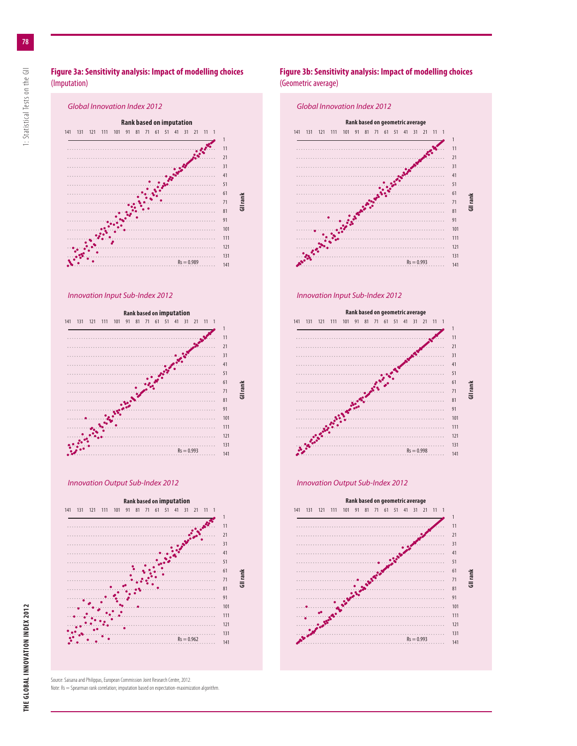

Note: Rs = Spearman rank correlation; imputation based on expectation-maximization algorithm.

### **Figure 3b: Sensitivity analysis: Impact of modelling choices** (Geometric average)







Source: Saisana and Philippas, European Commission Joint Research Centre, 2012.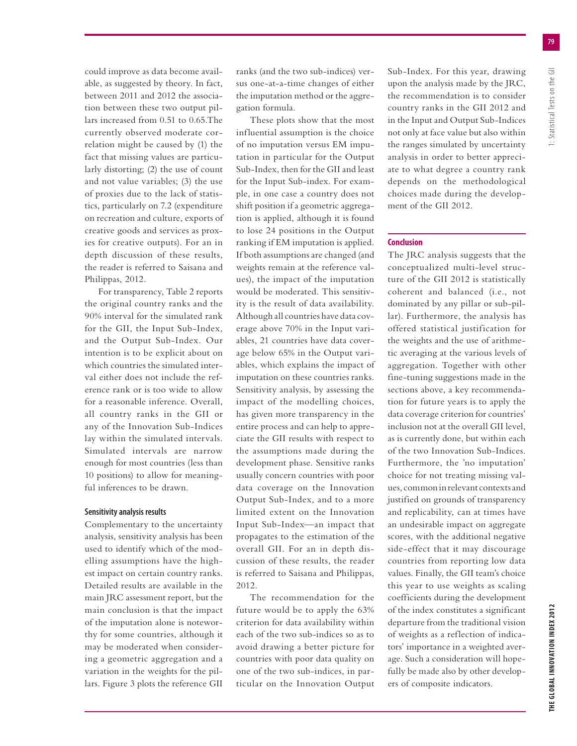could improve as data become available, as suggested by theory. In fact, between 2011 and 2012 the association between these two output pillars increased from 0.51 to 0.65.The currently observed moderate correlation might be caused by (1) the fact that missing values are particularly distorting; (2) the use of count and not value variables; (3) the use of proxies due to the lack of statistics, particularly on 7.2 (expenditure on recreation and culture, exports of creative goods and services as proxies for creative outputs). For an in depth discussion of these results, the reader is referred to Saisana and Philippas, 2012.

For transparency, Table 2 reports the original country ranks and the 90% interval for the simulated rank for the GII, the Input Sub-Index, and the Output Sub-Index. Our intention is to be explicit about on which countries the simulated interval either does not include the reference rank or is too wide to allow for a reasonable inference. Overall, all country ranks in the GII or any of the Innovation Sub-Indices lay within the simulated intervals. Simulated intervals are narrow enough for most countries (less than 10 positions) to allow for meaningful inferences to be drawn.

#### **Sensitivity analysis results**

Complementary to the uncertainty analysis, sensitivity analysis has been used to identify which of the modelling assumptions have the highest impact on certain country ranks. Detailed results are available in the main JRC assessment report, but the main conclusion is that the impact of the imputation alone is noteworthy for some countries, although it may be moderated when considering a geometric aggregation and a variation in the weights for the pillars. Figure 3 plots the reference GII ranks (and the two sub-indices) versus one-at-a-time changes of either the imputation method or the aggregation formula.

These plots show that the most influential assumption is the choice of no imputation versus EM imputation in particular for the Output Sub-Index, then for the GII and least for the Input Sub-index. For example, in one case a country does not shift position if a geometric aggregation is applied, although it is found to lose 24 positions in the Output ranking if EM imputation is applied. If both assumptions are changed (and weights remain at the reference values), the impact of the imputation would be moderated. This sensitivity is the result of data availability. Although all countries have data coverage above 70% in the Input variables, 21 countries have data coverage below 65% in the Output variables, which explains the impact of imputation on these countries ranks. Sensitivity analysis, by assessing the impact of the modelling choices, has given more transparency in the entire process and can help to appreciate the GII results with respect to the assumptions made during the development phase. Sensitive ranks usually concern countries with poor data coverage on the Innovation Output Sub-Index, and to a more limited extent on the Innovation Input Sub-Index—an impact that propagates to the estimation of the overall GII. For an in depth discussion of these results, the reader is referred to Saisana and Philippas, 2012.

The recommendation for the future would be to apply the 63% criterion for data availability within each of the two sub-indices so as to avoid drawing a better picture for countries with poor data quality on one of the two sub-indices, in particular on the Innovation Output Sub-Index. For this year, drawing upon the analysis made by the JRC, the recommendation is to consider country ranks in the GII 2012 and in the Input and Output Sub-Indices not only at face value but also within the ranges simulated by uncertainty analysis in order to better appreciate to what degree a country rank depends on the methodological choices made during the development of the GII 2012.

#### **Conclusion**

The JRC analysis suggests that the conceptualized multi-level structure of the GII 2012 is statistically coherent and balanced (i.e., not dominated by any pillar or sub-pillar). Furthermore, the analysis has offered statistical justification for the weights and the use of arithmetic averaging at the various levels of aggregation. Together with other fine-tuning suggestions made in the sections above, a key recommendation for future years is to apply the data coverage criterion for countries' inclusion not at the overall GII level, as is currently done, but within each of the two Innovation Sub-Indices. Furthermore, the 'no imputation' choice for not treating missing values, common in relevant contexts and justified on grounds of transparency and replicability, can at times have an undesirable impact on aggregate scores, with the additional negative side-effect that it may discourage countries from reporting low data values. Finally, the GII team's choice this year to use weights as scaling coefficients during the development of the index constitutes a significant departure from the traditional vision of weights as a reflection of indicators' importance in a weighted average. Such a consideration will hopefully be made also by other developers of composite indicators.